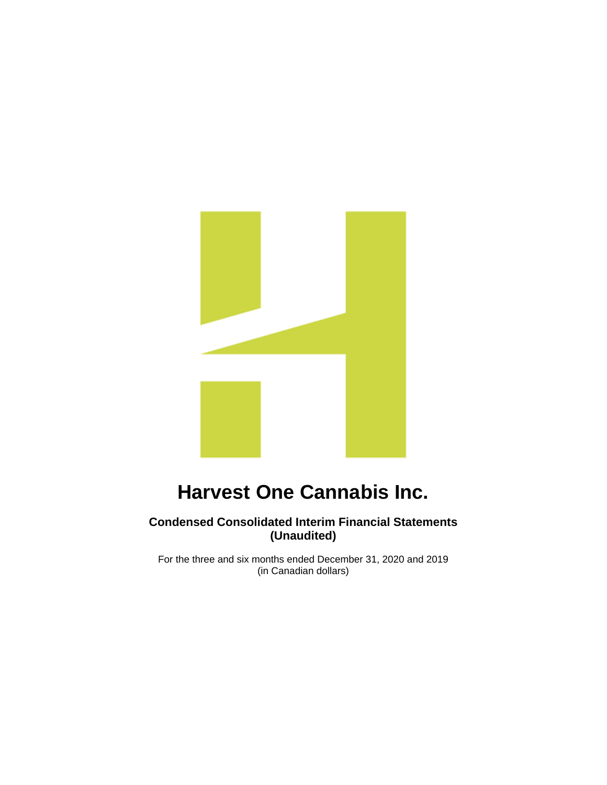

# **Condensed Consolidated Interim Financial Statements (Unaudited)**

For the three and six months ended December 31, 2020 and 2019 (in Canadian dollars)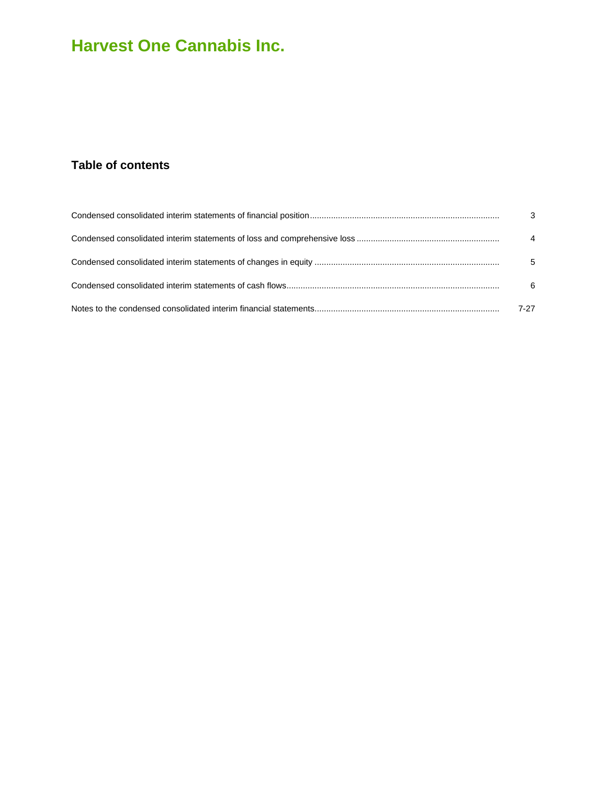# **Table of contents**

| $\mathbf{3}$   |
|----------------|
| $\overline{4}$ |
| 5              |
| 6              |
| 7-27           |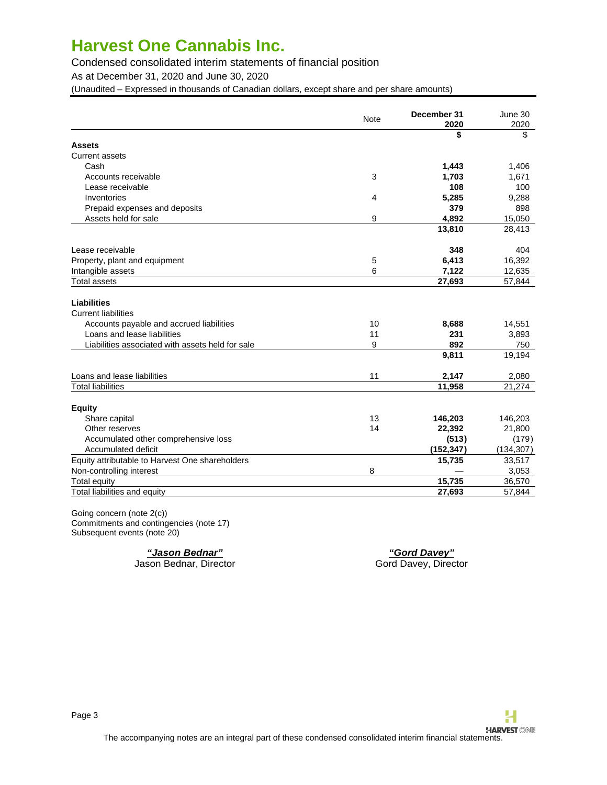# Condensed consolidated interim statements of financial position

As at December 31, 2020 and June 30, 2020

(Unaudited – Expressed in thousands of Canadian dollars, except share and per share amounts)

|                                                  | <b>Note</b> | December 31 | June 30    |
|--------------------------------------------------|-------------|-------------|------------|
|                                                  |             | 2020        | 2020       |
|                                                  |             | \$          | \$         |
| <b>Assets</b>                                    |             |             |            |
| <b>Current assets</b>                            |             |             |            |
| Cash                                             |             | 1,443       | 1,406      |
| Accounts receivable                              | 3           | 1,703       | 1,671      |
| Lease receivable                                 |             | 108         | 100        |
| Inventories                                      | 4           | 5,285       | 9,288      |
| Prepaid expenses and deposits                    |             | 379         | 898        |
| Assets held for sale                             | 9           | 4.892       | 15,050     |
|                                                  |             | 13,810      | 28,413     |
| Lease receivable                                 |             | 348         | 404        |
| Property, plant and equipment                    | 5           | 6,413       | 16,392     |
| Intangible assets                                | 6           | 7,122       | 12,635     |
| <b>Total assets</b>                              |             | 27,693      | 57,844     |
| <b>Liabilities</b><br><b>Current liabilities</b> |             |             |            |
| Accounts payable and accrued liabilities         | 10          | 8,688       | 14,551     |
| Loans and lease liabilities                      | 11          | 231         | 3,893      |
| Liabilities associated with assets held for sale | 9           | 892         | 750        |
|                                                  |             | 9,811       | 19,194     |
| Loans and lease liabilities                      | 11          | 2,147       | 2,080      |
| <b>Total liabilities</b>                         |             | 11,958      | 21,274     |
| <b>Equity</b>                                    |             |             |            |
| Share capital                                    | 13          | 146,203     | 146,203    |
| Other reserves                                   | 14          | 22,392      | 21,800     |
| Accumulated other comprehensive loss             |             | (513)       | (179)      |
| Accumulated deficit                              |             | (152, 347)  | (134, 307) |
| Equity attributable to Harvest One shareholders  |             | 15,735      | 33,517     |
| Non-controlling interest                         | 8           |             | 3,053      |
| <b>Total equity</b>                              |             | 15,735      | 36,570     |
| Total liabilities and equity                     |             | 27,693      | 57,844     |
|                                                  |             |             |            |

Going concern (note 2(c)) Commitments and contingencies (note 17) Subsequent events (note 20)

Jason Bednar, Director

**"Jason Bednar" "Gord Davey"**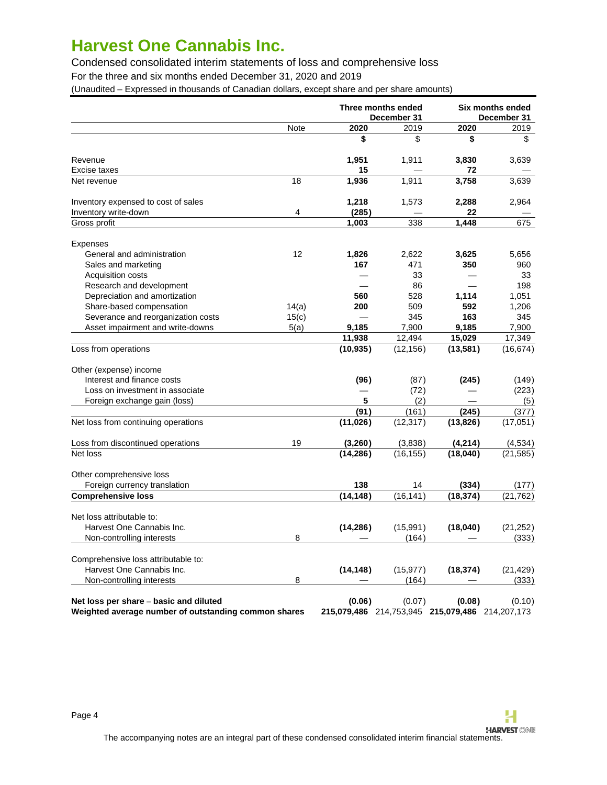Condensed consolidated interim statements of loss and comprehensive loss

For the three and six months ended December 31, 2020 and 2019

(Unaudited – Expressed in thousands of Canadian dollars, except share and per share amounts)

|                                                                                                |       | Three months ended<br>December 31 |                                                           |           | Six months ended<br>December 31 |
|------------------------------------------------------------------------------------------------|-------|-----------------------------------|-----------------------------------------------------------|-----------|---------------------------------|
|                                                                                                | Note  | 2020                              | 2019                                                      | 2020      | 2019                            |
|                                                                                                |       | \$                                | \$                                                        | \$        | \$                              |
| Revenue                                                                                        |       | 1,951                             | 1,911                                                     | 3,830     | 3,639                           |
| Excise taxes                                                                                   |       | 15                                |                                                           | 72        |                                 |
| Net revenue                                                                                    | 18    | 1,936                             | 1,911                                                     | 3,758     | 3,639                           |
| Inventory expensed to cost of sales                                                            |       | 1,218                             | 1,573                                                     | 2,288     | 2,964                           |
| Inventory write-down                                                                           | 4     | (285)                             |                                                           | 22        |                                 |
| Gross profit                                                                                   |       | 1,003                             | 338                                                       | 1,448     | 675                             |
| <b>Expenses</b>                                                                                |       |                                   |                                                           |           |                                 |
| General and administration                                                                     | 12    | 1,826                             | 2,622                                                     | 3,625     | 5,656                           |
| Sales and marketing                                                                            |       | 167                               | 471                                                       | 350       | 960                             |
| <b>Acquisition costs</b>                                                                       |       |                                   | 33                                                        |           | 33                              |
| Research and development                                                                       |       |                                   | 86                                                        |           | 198                             |
| Depreciation and amortization                                                                  |       | 560                               | 528                                                       | 1,114     | 1,051                           |
| Share-based compensation                                                                       | 14(a) | 200                               | 509                                                       | 592       | 1,206                           |
| Severance and reorganization costs                                                             | 15(c) |                                   | 345                                                       | 163       | 345                             |
| Asset impairment and write-downs                                                               | 5(a)  | 9,185                             | 7,900                                                     | 9,185     | 7,900                           |
|                                                                                                |       | 11,938                            | 12,494                                                    | 15,029    | 17,349                          |
| Loss from operations                                                                           |       | (10, 935)                         | (12, 156)                                                 | (13, 581) | (16, 674)                       |
| Other (expense) income                                                                         |       |                                   |                                                           |           |                                 |
| Interest and finance costs                                                                     |       | (96)                              | (87)                                                      | (245)     | (149)                           |
| Loss on investment in associate                                                                |       |                                   | (72)                                                      |           | (223)                           |
| Foreign exchange gain (loss)                                                                   |       | 5                                 | (2)                                                       |           | (5)                             |
|                                                                                                |       | (91)                              | (161)                                                     | (245)     | (377)                           |
| Net loss from continuing operations                                                            |       | (11, 026)                         | (12, 317)                                                 | (13, 826) | (17,051)                        |
| Loss from discontinued operations                                                              | 19    | (3,260)                           | (3,838)                                                   | (4,214)   | (4,534)                         |
| Net loss                                                                                       |       | (14, 286)                         | (16, 155)                                                 | (18,040)  | (21, 585)                       |
| Other comprehensive loss                                                                       |       |                                   |                                                           |           |                                 |
| Foreign currency translation                                                                   |       | 138                               | 14                                                        | (334)     | (177)                           |
| <b>Comprehensive loss</b>                                                                      |       | (14, 148)                         | (16, 141)                                                 | (18, 374) | (21, 762)                       |
| Net loss attributable to:                                                                      |       |                                   |                                                           |           |                                 |
| Harvest One Cannabis Inc.                                                                      |       | (14, 286)                         | (15,991)                                                  | (18,040)  | (21, 252)                       |
| Non-controlling interests                                                                      | 8     |                                   | (164)                                                     |           | (333)                           |
| Comprehensive loss attributable to:                                                            |       |                                   |                                                           |           |                                 |
| Harvest One Cannabis Inc.                                                                      |       | (14, 148)                         | (15, 977)                                                 | (18, 374) | (21, 429)                       |
| Non-controlling interests                                                                      | 8     |                                   | (164)                                                     |           | (333)                           |
| Net loss per share - basic and diluted<br>Weighted average number of outstanding common shares |       | (0.06)                            | (0.07)<br>215,079,486 214,753,945 215,079,486 214,207,173 | (0.08)    | (0.10)                          |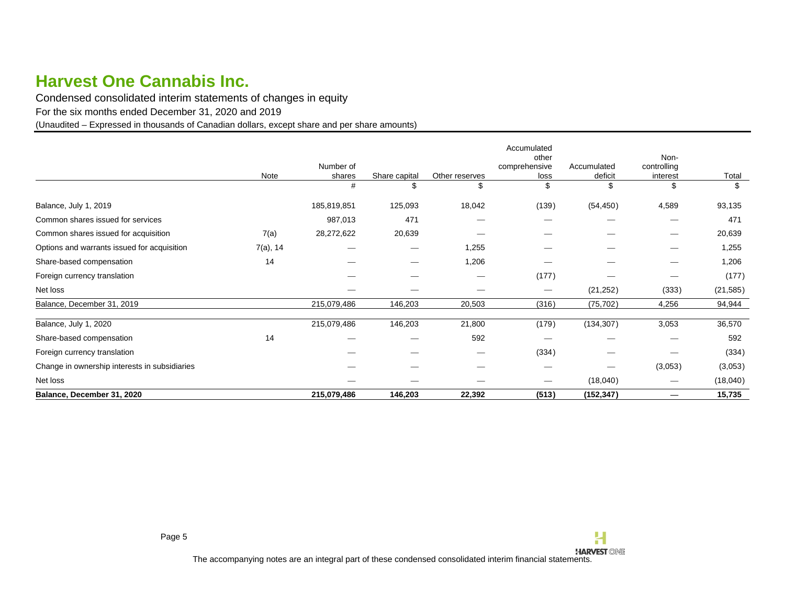Condensed consolidated interim statements of changes in equity

For the six months ended December 31, 2020 and 2019

(Unaudited – Expressed in thousands of Canadian dollars, except share and per share amounts)

<span id="page-4-0"></span>

|                                               | Note        | Number of<br>shares | Share capital | Other reserves | Accumulated<br>other<br>comprehensive<br>loss | Accumulated<br>deficit | Non-<br>controlling<br>interest | Total     |
|-----------------------------------------------|-------------|---------------------|---------------|----------------|-----------------------------------------------|------------------------|---------------------------------|-----------|
|                                               |             | #                   |               |                |                                               | \$                     | \$                              |           |
| Balance, July 1, 2019                         |             | 185,819,851         | 125,093       | 18,042         | (139)                                         | (54, 450)              | 4,589                           | 93,135    |
| Common shares issued for services             |             | 987,013             | 471           |                |                                               |                        |                                 | 471       |
| Common shares issued for acquisition          | 7(a)        | 28,272,622          | 20,639        |                |                                               |                        | $\overline{\phantom{0}}$        | 20,639    |
| Options and warrants issued for acquisition   | $7(a)$ , 14 |                     |               | 1,255          |                                               |                        | $\overline{\phantom{0}}$        | 1,255     |
| Share-based compensation                      | 14          |                     |               | 1,206          |                                               |                        |                                 | 1,206     |
| Foreign currency translation                  |             |                     |               |                | (177)                                         |                        |                                 | (177)     |
| Net loss                                      |             |                     |               |                |                                               | (21, 252)              | (333)                           | (21, 585) |
| Balance, December 31, 2019                    |             | 215,079,486         | 146,203       | 20,503         | (316)                                         | (75, 702)              | 4,256                           | 94,944    |
| Balance, July 1, 2020                         |             | 215,079,486         | 146,203       | 21,800         | (179)                                         | (134, 307)             | 3,053                           | 36,570    |
| Share-based compensation                      | 14          |                     |               | 592            |                                               |                        |                                 | 592       |
| Foreign currency translation                  |             |                     |               |                | (334)                                         |                        |                                 | (334)     |
| Change in ownership interests in subsidiaries |             |                     |               |                |                                               |                        | (3,053)                         | (3,053)   |
| Net loss                                      |             |                     |               |                |                                               | (18,040)               | $\overline{\phantom{0}}$        | (18,040)  |
| Balance, December 31, 2020                    |             | 215,079,486         | 146,203       | 22,392         | (513)                                         | (152, 347)             |                                 | 15,735    |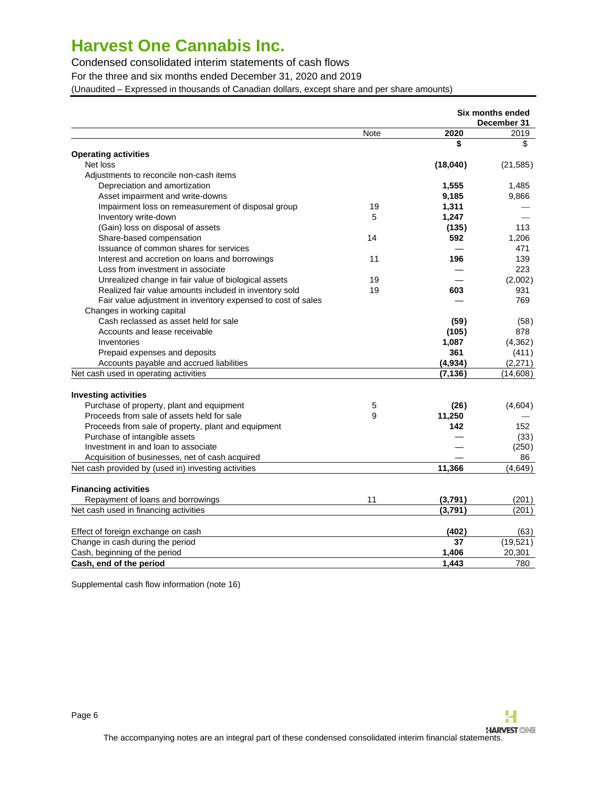Condensed consolidated interim statements of cash flows

For the three and six months ended December 31, 2020 and 2019

(Unaudited – Expressed in thousands of Canadian dollars, except share and per share amounts)

|                                                              |      |             | <b>Six months ended</b><br>December 31 |
|--------------------------------------------------------------|------|-------------|----------------------------------------|
|                                                              | Note | 2020        | 2019                                   |
|                                                              |      | \$          | \$                                     |
| <b>Operating activities</b>                                  |      |             |                                        |
| Net loss                                                     |      | (18,040)    | (21, 585)                              |
| Adjustments to reconcile non-cash items                      |      |             |                                        |
| Depreciation and amortization                                |      | 1,555       | 1,485                                  |
| Asset impairment and write-downs                             |      | 9,185       | 9,866                                  |
| Impairment loss on remeasurement of disposal group           | 19   | 1,311       |                                        |
| Inventory write-down                                         | 5    | 1,247       |                                        |
| (Gain) loss on disposal of assets                            |      | (135)       | 113                                    |
| Share-based compensation                                     | 14   | 592         | 1,206                                  |
| Issuance of common shares for services                       |      |             | 471                                    |
| Interest and accretion on loans and borrowings               | 11   | 196         | 139                                    |
| Loss from investment in associate                            |      |             | 223                                    |
| Unrealized change in fair value of biological assets         | 19   |             | (2,002)                                |
| Realized fair value amounts included in inventory sold       | 19   | 603         | 931                                    |
| Fair value adjustment in inventory expensed to cost of sales |      |             | 769                                    |
| Changes in working capital                                   |      |             |                                        |
| Cash reclassed as asset held for sale                        |      | (59)        | (58)                                   |
| Accounts and lease receivable                                |      | (105)       | 878                                    |
| Inventories                                                  |      | 1,087       | (4,362)                                |
| Prepaid expenses and deposits                                |      | 361         | (411)                                  |
| Accounts payable and accrued liabilities                     |      | (4,934)     | (2,271)                                |
| Net cash used in operating activities                        |      | (7, 136)    | (14,608)                               |
|                                                              |      |             |                                        |
| <b>Investing activities</b>                                  |      |             |                                        |
| Purchase of property, plant and equipment                    | 5    | (26)        | (4,604)                                |
| Proceeds from sale of assets held for sale                   | 9    | 11,250      |                                        |
| Proceeds from sale of property, plant and equipment          |      | 142         | 152                                    |
| Purchase of intangible assets                                |      |             | (33)                                   |
| Investment in and loan to associate                          |      |             | (250)                                  |
| Acquisition of businesses, net of cash acquired              |      |             | 86                                     |
| Net cash provided by (used in) investing activities          |      | 11,366      | (4,649)                                |
|                                                              |      |             |                                        |
| <b>Financing activities</b>                                  |      |             |                                        |
| Repayment of loans and borrowings                            | 11   | (3,791)     | (201)                                  |
| Net cash used in financing activities                        |      | (3,791)     | (201)                                  |
|                                                              |      |             |                                        |
| Effect of foreign exchange on cash                           |      | (402)<br>37 | (63)<br>(19,521)                       |
| Change in cash during the period                             |      |             |                                        |
| Cash, beginning of the period                                |      | 1,406       | 20,301                                 |
| Cash, end of the period                                      |      | 1.443       | 780                                    |

Supplemental cash flow information (note 16)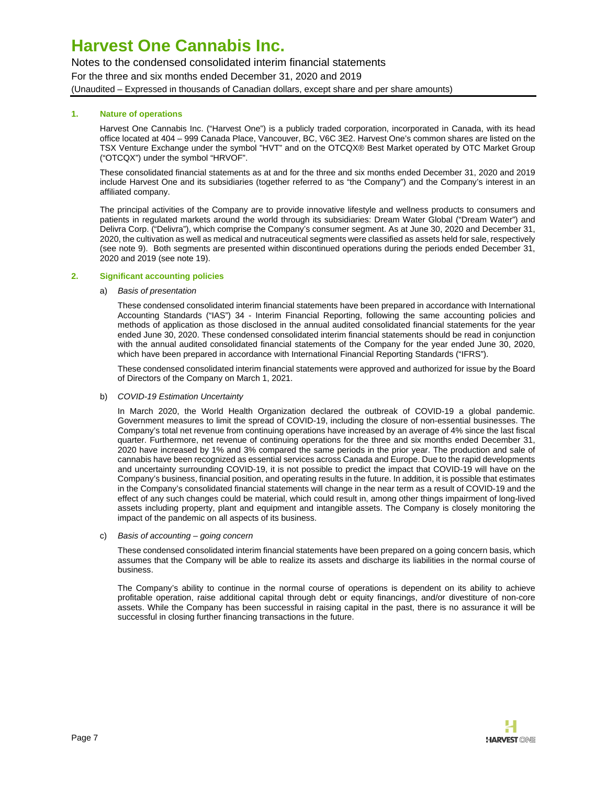Notes to the condensed consolidated interim financial statements For the three and six months ended December 31, 2020 and 2019 (Unaudited – Expressed in thousands of Canadian dollars, except share and per share amounts)

## **1. Nature of operations**

<span id="page-6-0"></span>Harvest One Cannabis Inc. ("Harvest One") is a publicly traded corporation, incorporated in Canada, with its head office located at 404 – 999 Canada Place, Vancouver, BC, V6C 3E2. Harvest One's common shares are listed on the TSX Venture Exchange under the symbol "HVT" and on the OTCQX® Best Market operated by OTC Market Group ("OTCQX") under the symbol "HRVOF".

These consolidated financial statements as at and for the three and six months ended December 31, 2020 and 2019 include Harvest One and its subsidiaries (together referred to as "the Company") and the Company's interest in an affiliated company.

The principal activities of the Company are to provide innovative lifestyle and wellness products to consumers and patients in regulated markets around the world through its subsidiaries: Dream Water Global ("Dream Water") and Delivra Corp. ("Delivra"), which comprise the Company's consumer segment. As at June 30, 2020 and December 31, 2020, the cultivation as well as medical and nutraceutical segments were classified as assets held for sale, respectively (see note 9). Both segments are presented within discontinued operations during the periods ended December 31, 2020 and 2019 (see note 19).

### **2. Significant accounting policies**

### a) Basis of presentation

These condensed consolidated interim financial statements have been prepared in accordance with International Accounting Standards ("IAS") 34 - Interim Financial Reporting, following the same accounting policies and methods of application as those disclosed in the annual audited consolidated financial statements for the year ended June 30, 2020. These condensed consolidated interim financial statements should be read in conjunction with the annual audited consolidated financial statements of the Company for the year ended June 30, 2020, which have been prepared in accordance with International Financial Reporting Standards ("IFRS").

These condensed consolidated interim financial statements were approved and authorized for issue by the Board of Directors of the Company on March 1, 2021.

b) COVID-19 Estimation Uncertainty

In March 2020, the World Health Organization declared the outbreak of COVID-19 a global pandemic. Government measures to limit the spread of COVID-19, including the closure of non-essential businesses. The Company's total net revenue from continuing operations have increased by an average of 4% since the last fiscal quarter. Furthermore, net revenue of continuing operations for the three and six months ended December 31, 2020 have increased by 1% and 3% compared the same periods in the prior year. The production and sale of cannabis have been recognized as essential services across Canada and Europe. Due to the rapid developments and uncertainty surrounding COVID-19, it is not possible to predict the impact that COVID-19 will have on the Company's business, financial position, and operating results in the future. In addition, it is possible that estimates in the Company's consolidated financial statements will change in the near term as a result of COVID-19 and the effect of any such changes could be material, which could result in, among other things impairment of long-lived assets including property, plant and equipment and intangible assets. The Company is closely monitoring the impact of the pandemic on all aspects of its business.

c) Basis of accounting – going concern

These condensed consolidated interim financial statements have been prepared on a going concern basis, which assumes that the Company will be able to realize its assets and discharge its liabilities in the normal course of business.

The Company's ability to continue in the normal course of operations is dependent on its ability to achieve profitable operation, raise additional capital through debt or equity financings, and/or divestiture of non-core assets. While the Company has been successful in raising capital in the past, there is no assurance it will be successful in closing further financing transactions in the future.

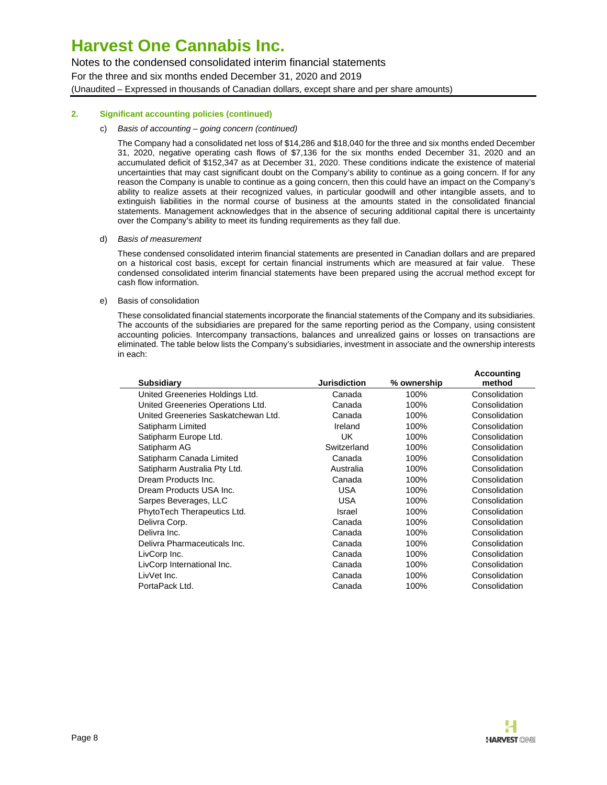Notes to the condensed consolidated interim financial statements For the three and six months ended December 31, 2020 and 2019 (Unaudited – Expressed in thousands of Canadian dollars, except share and per share amounts)

### **2. Significant accounting policies (continued)**

#### c) Basis of accounting – going concern (continued)

The Company had a consolidated net loss of \$14,286 and \$18,040 for the three and six months ended December 31, 2020, negative operating cash flows of \$7,136 for the six months ended December 31, 2020 and an accumulated deficit of \$152,347 as at December 31, 2020. These conditions indicate the existence of material uncertainties that may cast significant doubt on the Company's ability to continue as a going concern. If for any reason the Company is unable to continue as a going concern, then this could have an impact on the Company's ability to realize assets at their recognized values, in particular goodwill and other intangible assets, and to extinguish liabilities in the normal course of business at the amounts stated in the consolidated financial statements. Management acknowledges that in the absence of securing additional capital there is uncertainty over the Company's ability to meet its funding requirements as they fall due.

### d) Basis of measurement

These condensed consolidated interim financial statements are presented in Canadian dollars and are prepared on a historical cost basis, except for certain financial instruments which are measured at fair value. These condensed consolidated interim financial statements have been prepared using the accrual method except for cash flow information.

### e) Basis of consolidation

These consolidated financial statements incorporate the financial statements of the Company and its subsidiaries. The accounts of the subsidiaries are prepared for the same reporting period as the Company, using consistent accounting policies. Intercompany transactions, balances and unrealized gains or losses on transactions are eliminated. The table below lists the Company's subsidiaries, investment in associate and the ownership interests in each:

| <b>Subsidiary</b>                   | <b>Jurisdiction</b> | % ownership | <b>Accounting</b><br>method |
|-------------------------------------|---------------------|-------------|-----------------------------|
| United Greeneries Holdings Ltd.     | Canada              | 100%        | Consolidation               |
| United Greeneries Operations Ltd.   | Canada              | 100%        | Consolidation               |
| United Greeneries Saskatchewan Ltd. | Canada              | 100%        | Consolidation               |
| Satipharm Limited                   | Ireland             | 100%        | Consolidation               |
| Satipharm Europe Ltd.               | <b>UK</b>           | 100%        | Consolidation               |
| Satipharm AG                        | Switzerland         | 100%        | Consolidation               |
| Satipharm Canada Limited            | Canada              | 100%        | Consolidation               |
| Satipharm Australia Pty Ltd.        | Australia           | 100%        | Consolidation               |
| Dream Products Inc.                 | Canada              | 100%        | Consolidation               |
| Dream Products USA Inc.             | <b>USA</b>          | 100%        | Consolidation               |
| Sarpes Beverages, LLC               | <b>USA</b>          | 100%        | Consolidation               |
| PhytoTech Therapeutics Ltd.         | Israel              | 100%        | Consolidation               |
| Delivra Corp.                       | Canada              | 100%        | Consolidation               |
| Delivra Inc.                        | Canada              | 100%        | Consolidation               |
| Delivra Pharmaceuticals Inc.        | Canada              | 100%        | Consolidation               |
| LivCorp Inc.                        | Canada              | 100%        | Consolidation               |
| LivCorp International Inc.          | Canada              | 100%        | Consolidation               |
| LivVet Inc.                         | Canada              | 100%        | Consolidation               |
| PortaPack Ltd.                      | Canada              | 100%        | Consolidation               |
|                                     |                     |             |                             |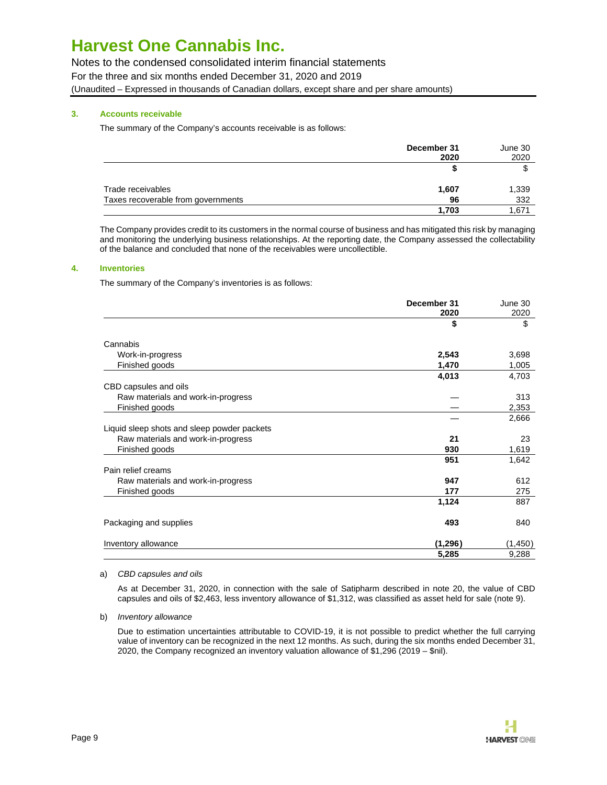Notes to the condensed consolidated interim financial statements For the three and six months ended December 31, 2020 and 2019 (Unaudited – Expressed in thousands of Canadian dollars, except share and per share amounts)

# **3. Accounts receivable**

The summary of the Company's accounts receivable is as follows:

|                                    | December 31<br>2020 | June 30<br>2020 |
|------------------------------------|---------------------|-----------------|
|                                    |                     |                 |
| Trade receivables                  | 1,607               | 1,339           |
| Taxes recoverable from governments | 96                  | 332             |
|                                    | 1,703               | .671            |

The Company provides credit to its customers in the normal course of business and has mitigated this risk by managing and monitoring the underlying business relationships. At the reporting date, the Company assessed the collectability of the balance and concluded that none of the receivables were uncollectible.

## **4. Inventories**

The summary of the Company's inventories is as follows:

|                                             | December 31 | June 30  |
|---------------------------------------------|-------------|----------|
|                                             | 2020        | 2020     |
|                                             | \$          | \$       |
| Cannabis                                    |             |          |
| Work-in-progress                            | 2,543       | 3,698    |
| Finished goods                              | 1,470       | 1,005    |
|                                             | 4,013       | 4,703    |
| CBD capsules and oils                       |             |          |
| Raw materials and work-in-progress          |             | 313      |
| Finished goods                              |             | 2,353    |
|                                             |             | 2,666    |
| Liquid sleep shots and sleep powder packets |             |          |
| Raw materials and work-in-progress          | 21          | 23       |
| Finished goods                              | 930         | 1,619    |
|                                             | 951         | 1,642    |
| Pain relief creams                          |             |          |
| Raw materials and work-in-progress          | 947         | 612      |
| Finished goods                              | 177         | 275      |
|                                             | 1,124       | 887      |
| Packaging and supplies                      | 493         | 840      |
| Inventory allowance                         | (1,296)     | (1, 450) |
|                                             | 5,285       | 9,288    |

#### a) CBD capsules and oils

As at December 31, 2020, in connection with the sale of Satipharm described in note 20, the value of CBD capsules and oils of \$2,463, less inventory allowance of \$1,312, was classified as asset held for sale (note 9).

#### b) Inventory allowance

Due to estimation uncertainties attributable to COVID-19, it is not possible to predict whether the full carrying value of inventory can be recognized in the next 12 months. As such, during the six months ended December 31, 2020, the Company recognized an inventory valuation allowance of \$1,296 (2019 – \$nil).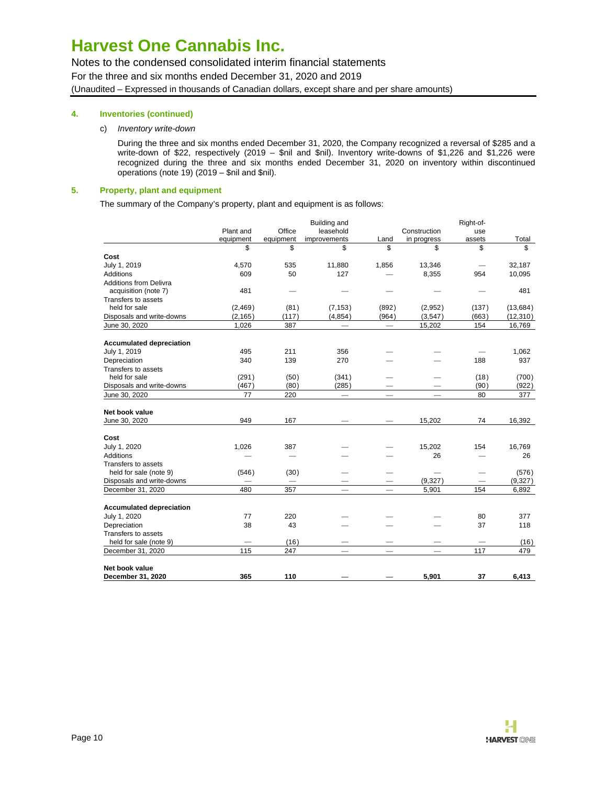Notes to the condensed consolidated interim financial statements For the three and six months ended December 31, 2020 and 2019 (Unaudited – Expressed in thousands of Canadian dollars, except share and per share amounts)

# **4. Inventories (continued)**

### c) Inventory write-down

During the three and six months ended December 31, 2020, the Company recognized a reversal of \$285 and a write-down of \$22, respectively (2019 – \$nil and \$nil). Inventory write-downs of \$1,226 and \$1,226 were recognized during the three and six months ended December 31, 2020 on inventory within discontinued operations (note 19) (2019 – \$nil and \$nil).

### **5. Property, plant and equipment**

The summary of the Company's property, plant and equipment is as follows:

|                                 |           |           | Building and             |                               |              | Right-of- |           |
|---------------------------------|-----------|-----------|--------------------------|-------------------------------|--------------|-----------|-----------|
|                                 | Plant and | Office    | leasehold                |                               | Construction | use       |           |
|                                 | equipment | equipment | improvements             | Land                          | in progress  | assets    | Total     |
|                                 | \$        | \$        | \$                       | \$                            | \$           | \$        | \$        |
| Cost                            |           |           |                          |                               |              |           |           |
| July 1, 2019                    | 4,570     | 535       | 11,880                   | 1,856                         | 13,346       |           | 32,187    |
| Additions                       | 609       | 50        | 127                      |                               | 8,355        | 954       | 10,095    |
| <b>Additions from Delivra</b>   |           |           |                          |                               |              |           |           |
| acquisition (note 7)            | 481       |           |                          |                               |              |           | 481       |
| Transfers to assets             |           |           |                          |                               |              |           |           |
| held for sale                   | (2,469)   | (81)      | (7, 153)                 | (892)                         | (2,952)      | (137)     | (13, 684) |
| Disposals and write-downs       | (2, 165)  | (117)     | (4, 854)                 | (964)                         | (3,547)      | (663)     | (12, 310) |
| June 30, 2020                   | 1,026     | 387       |                          | $\overbrace{\phantom{12333}}$ | 15,202       | 154       | 16,769    |
|                                 |           |           |                          |                               |              |           |           |
| <b>Accumulated depreciation</b> |           |           |                          |                               |              |           |           |
| July 1, 2019                    | 495       | 211       | 356                      |                               |              |           | 1,062     |
| Depreciation                    | 340       | 139       | 270                      |                               |              | 188       | 937       |
| Transfers to assets             |           |           |                          |                               |              |           |           |
| held for sale                   | (291)     | (50)      | (341)                    |                               |              | (18)      | (700)     |
| Disposals and write-downs       | (467)     | (80)      | (285)                    |                               |              | (90)      | (922)     |
| June 30, 2020                   | 77        | 220       | $\overline{\phantom{m}}$ | $\overline{\phantom{m}}$      |              | 80        | 377       |
| Net book value                  |           |           |                          |                               |              |           |           |
| June 30, 2020                   | 949       | 167       |                          |                               | 15,202       | 74        | 16,392    |
|                                 |           |           |                          |                               |              |           |           |
| Cost                            |           |           |                          |                               |              |           |           |
| July 1, 2020                    | 1,026     | 387       |                          |                               | 15,202       | 154       | 16,769    |
| Additions                       |           |           |                          |                               | 26           |           | 26        |
| Transfers to assets             |           |           |                          |                               |              |           |           |
| held for sale (note 9)          | (546)     | (30)      |                          |                               |              |           | (576)     |
| Disposals and write-downs       |           |           |                          |                               | (9,327)      |           | (9,327)   |
| December 31, 2020               | 480       | 357       |                          |                               | 5,901        | 154       | 6,892     |
|                                 |           |           |                          |                               |              |           |           |
| <b>Accumulated depreciation</b> |           |           |                          |                               |              |           |           |
| July 1, 2020                    | 77        | 220       |                          |                               |              | 80        | 377       |
| Depreciation                    | 38        | 43        |                          |                               |              | 37        | 118       |
| Transfers to assets             |           |           |                          |                               |              |           |           |
| held for sale (note 9)          |           | (16)      |                          |                               |              |           | (16)      |
| December 31, 2020               | 115       | 247       |                          |                               |              | 117       | 479       |
| Net book value                  |           |           |                          |                               |              |           |           |
| December 31, 2020               | 365       | 110       |                          |                               | 5.901        | 37        | 6.413     |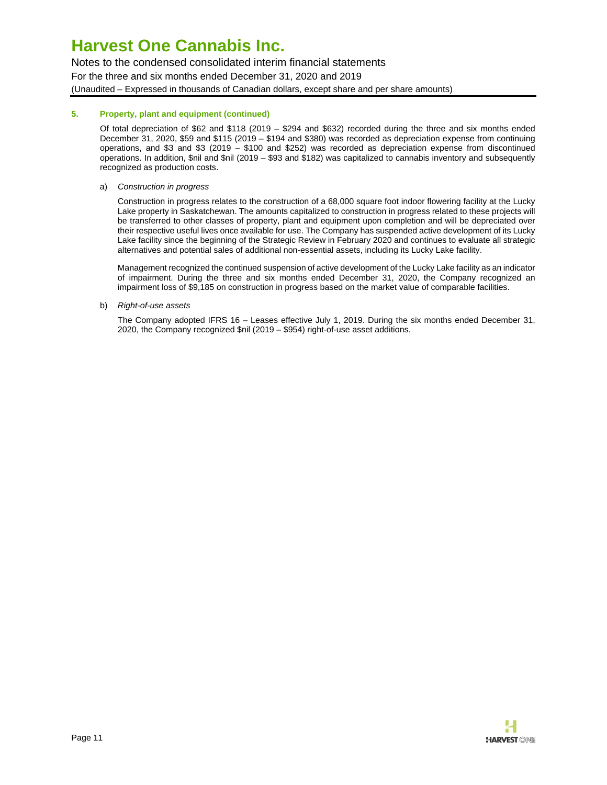Notes to the condensed consolidated interim financial statements For the three and six months ended December 31, 2020 and 2019 (Unaudited – Expressed in thousands of Canadian dollars, except share and per share amounts)

## **5. Property, plant and equipment (continued)**

Of total depreciation of \$62 and \$118 (2019 – \$294 and \$632) recorded during the three and six months ended December 31, 2020, \$59 and \$115 (2019 – \$194 and \$380) was recorded as depreciation expense from continuing operations, and \$3 and \$3 (2019 – \$100 and \$252) was recorded as depreciation expense from discontinued operations. In addition, \$nil and \$nil (2019 – \$93 and \$182) was capitalized to cannabis inventory and subsequently recognized as production costs.

### a) Construction in progress

Construction in progress relates to the construction of a 68,000 square foot indoor flowering facility at the Lucky Lake property in Saskatchewan. The amounts capitalized to construction in progress related to these projects will be transferred to other classes of property, plant and equipment upon completion and will be depreciated over their respective useful lives once available for use. The Company has suspended active development of its Lucky Lake facility since the beginning of the Strategic Review in February 2020 and continues to evaluate all strategic alternatives and potential sales of additional non-essential assets, including its Lucky Lake facility.

Management recognized the continued suspension of active development of the Lucky Lake facility as an indicator of impairment. During the three and six months ended December 31, 2020, the Company recognized an impairment loss of \$9,185 on construction in progress based on the market value of comparable facilities.

b) Right-of-use assets

The Company adopted IFRS 16 – Leases effective July 1, 2019. During the six months ended December 31, 2020, the Company recognized \$nil (2019 – \$954) right-of-use asset additions.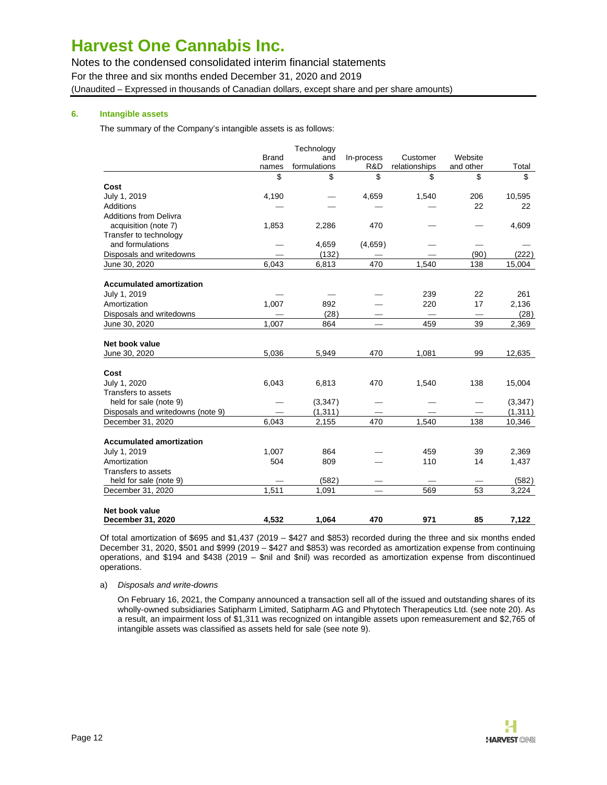Notes to the condensed consolidated interim financial statements For the three and six months ended December 31, 2020 and 2019 (Unaudited – Expressed in thousands of Canadian dollars, except share and per share amounts)

# **6. Intangible assets**

The summary of the Company's intangible assets is as follows:

|                                   |              | Technology   |            |               |           |          |
|-----------------------------------|--------------|--------------|------------|---------------|-----------|----------|
|                                   | <b>Brand</b> | and          | In-process | Customer      | Website   |          |
|                                   | names        | formulations | R&D        | relationships | and other | Total    |
|                                   | \$           | \$           | \$         | \$            | \$        | \$       |
| Cost                              |              |              |            |               |           |          |
| July 1, 2019                      | 4,190        |              | 4,659      | 1,540         | 206       | 10,595   |
| Additions                         |              |              |            |               | 22        | 22       |
| <b>Additions from Delivra</b>     |              |              |            |               |           |          |
| acquisition (note 7)              | 1,853        | 2,286        | 470        |               |           | 4,609    |
| Transfer to technology            |              |              |            |               |           |          |
| and formulations                  |              | 4,659        | (4,659)    |               |           |          |
| Disposals and writedowns          |              | (132)        |            |               | (90)      | (222)    |
| June 30, 2020                     | 6,043        | 6,813        | 470        | 1,540         | 138       | 15,004   |
| <b>Accumulated amortization</b>   |              |              |            |               |           |          |
| July 1, 2019                      |              |              |            | 239           | 22        | 261      |
| Amortization                      | 1,007        | 892          |            | 220           | 17        | 2,136    |
| Disposals and writedowns          |              | (28)         |            |               |           | (28)     |
| June 30, 2020                     | 1,007        | 864          |            | 459           | 39        | 2,369    |
|                                   |              |              |            |               |           |          |
| Net book value                    |              |              |            |               |           |          |
| June 30, 2020                     | 5,036        | 5,949        | 470        | 1,081         | 99        | 12,635   |
| Cost                              |              |              |            |               |           |          |
| July 1, 2020                      | 6,043        | 6,813        | 470        | 1,540         | 138       | 15,004   |
| Transfers to assets               |              |              |            |               |           |          |
| held for sale (note 9)            |              | (3,347)      |            |               |           | (3, 347) |
| Disposals and writedowns (note 9) |              | (1, 311)     |            |               |           | (1, 311) |
| December 31, 2020                 | 6.043        | 2,155        | 470        | 1.540         | 138       | 10,346   |
| <b>Accumulated amortization</b>   |              |              |            |               |           |          |
| July 1, 2019                      | 1,007        | 864          |            | 459           | 39        | 2,369    |
| Amortization                      | 504          | 809          |            | 110           | 14        | 1,437    |
| Transfers to assets               |              |              |            |               |           |          |
| held for sale (note 9)            |              | (582)        |            |               |           | (582)    |
| December 31, 2020                 | 1,511        | 1,091        |            | 569           | 53        | 3,224    |
|                                   |              |              |            |               |           |          |
| Net book value                    |              |              |            |               |           |          |
| December 31, 2020                 | 4.532        | 1.064        | 470        | 971           | 85        | 7.122    |

Of total amortization of \$695 and \$1,437 (2019 – \$427 and \$853) recorded during the three and six months ended December 31, 2020, \$501 and \$999 (2019 – \$427 and \$853) was recorded as amortization expense from continuing operations, and \$194 and \$438 (2019 – \$nil and \$nil) was recorded as amortization expense from discontinued operations.

#### a) Disposals and write-downs

On February 16, 2021, the Company announced a transaction sell all of the issued and outstanding shares of its wholly-owned subsidiaries Satipharm Limited, Satipharm AG and Phytotech Therapeutics Ltd. (see note 20). As a result, an impairment loss of \$1,311 was recognized on intangible assets upon remeasurement and \$2,765 of intangible assets was classified as assets held for sale (see note 9).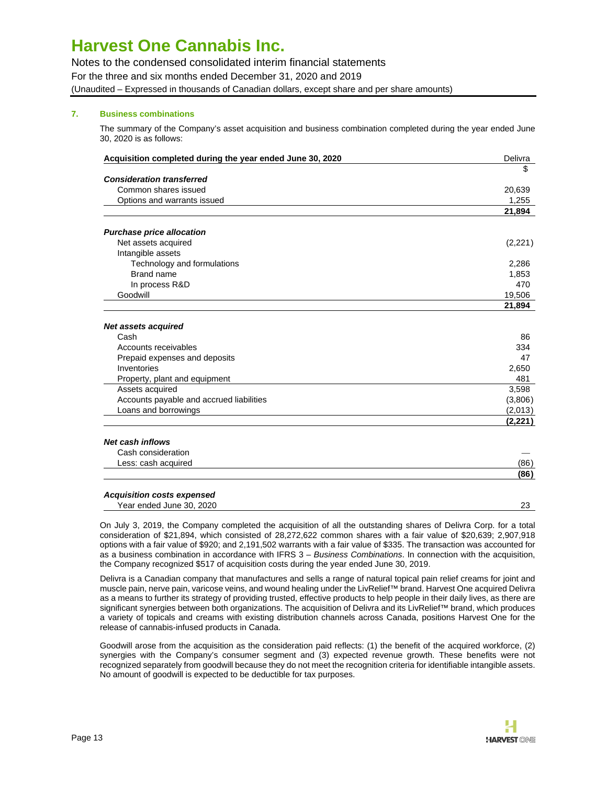Notes to the condensed consolidated interim financial statements For the three and six months ended December 31, 2020 and 2019 (Unaudited – Expressed in thousands of Canadian dollars, except share and per share amounts)

# **7. Business combinations**

The summary of the Company's asset acquisition and business combination completed during the year ended June 30, 2020 is as follows:

| Acquisition completed during the year ended June 30, 2020 | Delivra  |
|-----------------------------------------------------------|----------|
|                                                           | \$       |
| <b>Consideration transferred</b>                          |          |
| Common shares issued                                      | 20,639   |
| Options and warrants issued                               | 1,255    |
|                                                           | 21,894   |
| <b>Purchase price allocation</b>                          |          |
| Net assets acquired                                       | (2,221)  |
| Intangible assets                                         |          |
| Technology and formulations                               | 2,286    |
| Brand name                                                | 1,853    |
| In process R&D                                            | 470      |
| Goodwill                                                  | 19,506   |
|                                                           | 21,894   |
| <b>Net assets acquired</b>                                |          |
| Cash                                                      | 86       |
| Accounts receivables                                      | 334      |
| Prepaid expenses and deposits                             | 47       |
| Inventories                                               | 2,650    |
| Property, plant and equipment                             | 481      |
| Assets acquired                                           | 3,598    |
| Accounts payable and accrued liabilities                  | (3,806)  |
| Loans and borrowings                                      | (2,013)  |
|                                                           | (2, 221) |
| <b>Net cash inflows</b>                                   |          |
| Cash consideration                                        |          |
| Less: cash acquired                                       | (86)     |
|                                                           | (86)     |

#### **Acquisition costs expensed** Year ended June 30, 2020 **23** 23

On July 3, 2019, the Company completed the acquisition of all the outstanding shares of Delivra Corp. for a total consideration of \$21,894, which consisted of 28,272,622 common shares with a fair value of \$20,639; 2,907,918 options with a fair value of \$920; and 2,191,502 warrants with a fair value of \$335. The transaction was accounted for as a business combination in accordance with IFRS 3 – Business Combinations. In connection with the acquisition, the Company recognized \$517 of acquisition costs during the year ended June 30, 2019.

Delivra is a Canadian company that manufactures and sells a range of natural topical pain relief creams for joint and muscle pain, nerve pain, varicose veins, and wound healing under the LivRelief™ brand. Harvest One acquired Delivra as a means to further its strategy of providing trusted, effective products to help people in their daily lives, as there are significant synergies between both organizations. The acquisition of Delivra and its LivRelief™ brand, which produces a variety of topicals and creams with existing distribution channels across Canada, positions Harvest One for the release of cannabis-infused products in Canada.

Goodwill arose from the acquisition as the consideration paid reflects: (1) the benefit of the acquired workforce, (2) synergies with the Company's consumer segment and (3) expected revenue growth. These benefits were not recognized separately from goodwill because they do not meet the recognition criteria for identifiable intangible assets. No amount of goodwill is expected to be deductible for tax purposes.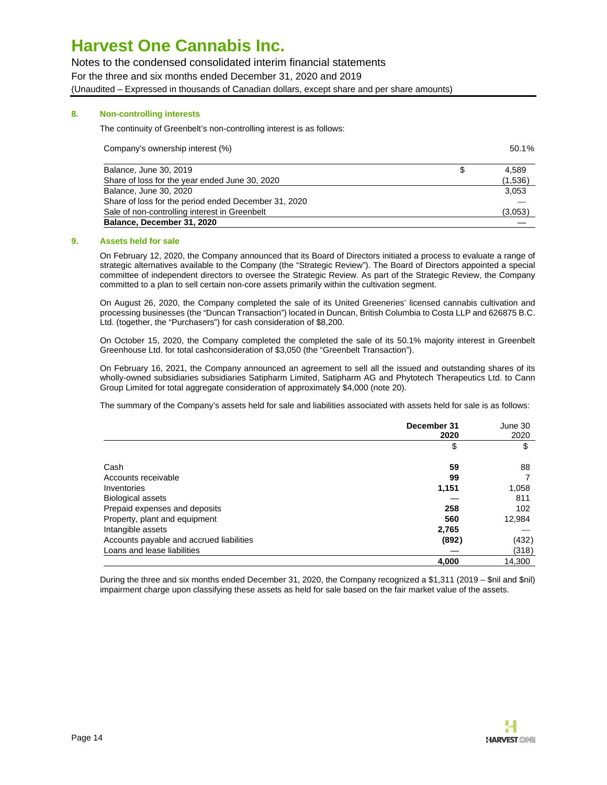Notes to the condensed consolidated interim financial statements For the three and six months ended December 31, 2020 and 2019 (Unaudited – Expressed in thousands of Canadian dollars, except share and per share amounts)

### **8. Non-controlling interests**

The continuity of Greenbelt's non-controlling interest is as follows:

| Company's ownership interest (%) | 50.1% |
|----------------------------------|-------|
|----------------------------------|-------|

| Balance, June 30, 2019                               | 4.589   |
|------------------------------------------------------|---------|
| Share of loss for the year ended June 30, 2020       | (1,536) |
| Balance, June 30, 2020                               | 3.053   |
| Share of loss for the period ended December 31, 2020 |         |
| Sale of non-controlling interest in Greenbelt        | (3,053) |
| Balance, December 31, 2020                           |         |

#### **9. Assets held for sale**

On February 12, 2020, the Company announced that its Board of Directors initiated a process to evaluate a range of strategic alternatives available to the Company (the "Strategic Review"). The Board of Directors appointed a special committee of independent directors to oversee the Strategic Review. As part of the Strategic Review, the Company committed to a plan to sell certain non-core assets primarily within the cultivation segment.

On August 26, 2020, the Company completed the sale of its United Greeneries' licensed cannabis cultivation and processing businesses (the "Duncan Transaction") located in Duncan, British Columbia to Costa LLP and 626875 B.C. Ltd. (together, the "Purchasers") for cash consideration of \$8,200.

On October 15, 2020, the Company completed the completed the sale of its 50.1% majority interest in Greenbelt Greenhouse Ltd. for total cashconsideration of \$3,050 (the "Greenbelt Transaction").

On February 16, 2021, the Company announced an agreement to sell all the issued and outstanding shares of its wholly-owned subsidiaries subsidiaries Satipharm Limited, Satipharm AG and Phytotech Therapeutics Ltd. to Cann Group Limited for total aggregate consideration of approximately \$4,000 (note 20).

The summary of the Company's assets held for sale and liabilities associated with assets held for sale is as follows:

|                                          | December 31 | June 30 |
|------------------------------------------|-------------|---------|
|                                          | 2020        | 2020    |
|                                          | \$          | \$      |
| Cash                                     | 59          | 88      |
| Accounts receivable                      | 99          |         |
| Inventories                              | 1,151       | 1,058   |
| <b>Biological assets</b>                 |             | 811     |
| Prepaid expenses and deposits            | 258         | 102     |
| Property, plant and equipment            | 560         | 12,984  |
| Intangible assets                        | 2,765       |         |
| Accounts payable and accrued liabilities | (892)       | (432)   |
| Loans and lease liabilities              |             | (318)   |
|                                          | 4,000       | 14.300  |

During the three and six months ended December 31, 2020, the Company recognized a \$1,311 (2019 – \$nil and \$nil) impairment charge upon classifying these assets as held for sale based on the fair market value of the assets.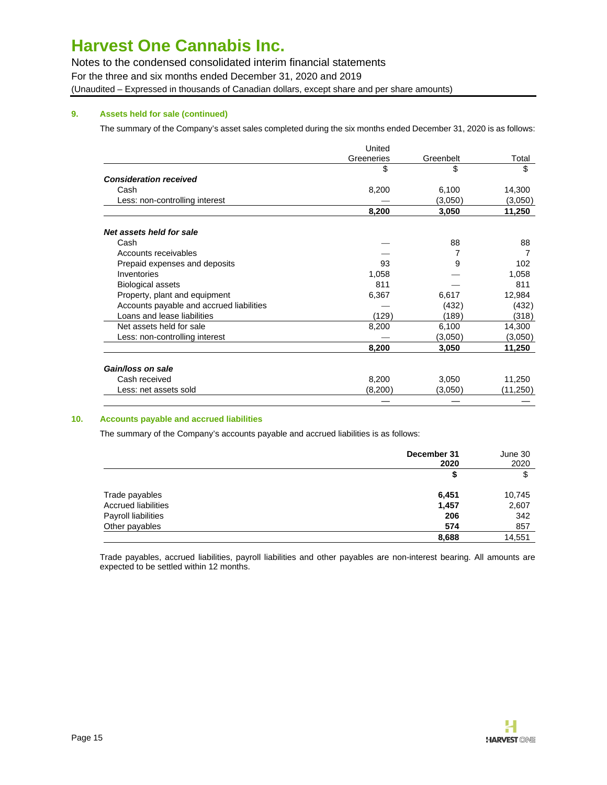Notes to the condensed consolidated interim financial statements For the three and six months ended December 31, 2020 and 2019 (Unaudited – Expressed in thousands of Canadian dollars, except share and per share amounts)

# **9. Assets held for sale (continued)**

The summary of the Company's asset sales completed during the six months ended December 31, 2020 is as follows:

|                                          | United     |           |          |
|------------------------------------------|------------|-----------|----------|
|                                          | Greeneries | Greenbelt | Total    |
|                                          | \$         | \$        | \$       |
| <b>Consideration received</b>            |            |           |          |
| Cash                                     | 8,200      | 6,100     | 14,300   |
| Less: non-controlling interest           |            | (3,050)   | (3,050)  |
|                                          | 8,200      | 3,050     | 11,250   |
| Net assets held for sale                 |            |           |          |
| Cash                                     |            | 88        | 88       |
| Accounts receivables                     |            |           |          |
| Prepaid expenses and deposits            | 93         | 9         | 102      |
| Inventories                              | 1,058      |           | 1,058    |
| <b>Biological assets</b>                 | 811        |           | 811      |
| Property, plant and equipment            | 6,367      | 6,617     | 12,984   |
| Accounts payable and accrued liabilities |            | (432)     | (432)    |
| Loans and lease liabilities              | (129)      | (189)     | (318)    |
| Net assets held for sale                 | 8,200      | 6,100     | 14,300   |
| Less: non-controlling interest           |            | (3,050)   | (3,050)  |
|                                          | 8,200      | 3,050     | 11,250   |
| Gain/loss on sale                        |            |           |          |
| Cash received                            | 8,200      | 3,050     | 11,250   |
| Less: net assets sold                    | (8,200)    | (3,050)   | (11,250) |
|                                          |            |           |          |

# **10. Accounts payable and accrued liabilities**

The summary of the Company's accounts payable and accrued liabilities is as follows:

|                            | December 31 | June 30 |  |
|----------------------------|-------------|---------|--|
|                            | 2020        | 2020    |  |
|                            | S           | \$      |  |
| Trade payables             | 6,451       | 10,745  |  |
| <b>Accrued liabilities</b> | 1,457       | 2,607   |  |
| Payroll liabilities        | 206         | 342     |  |
| Other payables             | 574         | 857     |  |
|                            | 8,688       | 14,551  |  |

Trade payables, accrued liabilities, payroll liabilities and other payables are non-interest bearing. All amounts are expected to be settled within 12 months.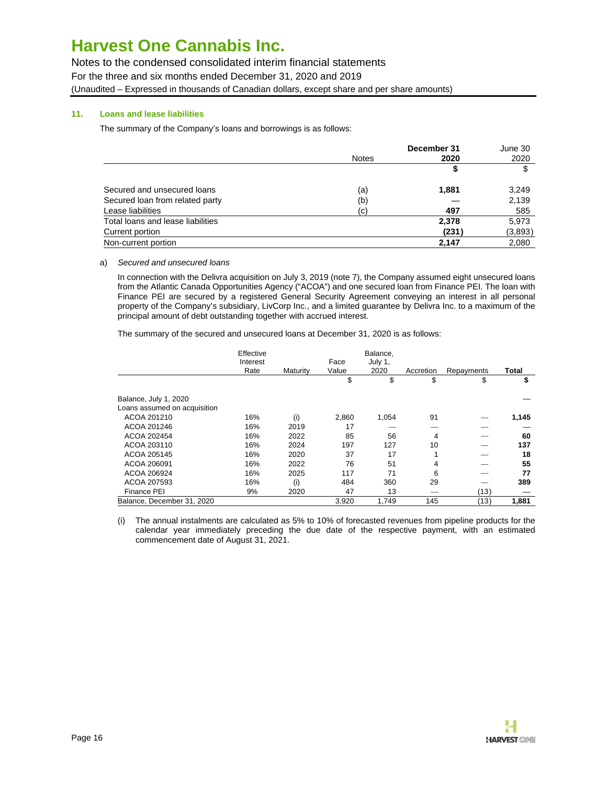Notes to the condensed consolidated interim financial statements For the three and six months ended December 31, 2020 and 2019 (Unaudited – Expressed in thousands of Canadian dollars, except share and per share amounts)

# **11. Loans and lease liabilities**

The summary of the Company's loans and borrowings is as follows:

|                                   | December 31  |       | June 30 |
|-----------------------------------|--------------|-------|---------|
|                                   | <b>Notes</b> | 2020  | 2020    |
|                                   |              | \$    | \$      |
| Secured and unsecured loans       | (a)          | 1,881 | 3,249   |
| Secured loan from related party   | (b)          |       | 2,139   |
| Lease liabilities                 | (c)          | 497   | 585     |
| Total loans and lease liabilities |              | 2,378 | 5,973   |
| Current portion                   |              | (231) | (3,893) |
| Non-current portion               |              | 2,147 | 2,080   |

#### a) Secured and unsecured loans

In connection with the Delivra acquisition on July 3, 2019 (note 7), the Company assumed eight unsecured loans from the Atlantic Canada Opportunities Agency ("ACOA") and one secured loan from Finance PEI. The loan with Finance PEI are secured by a registered General Security Agreement conveying an interest in all personal property of the Company's subsidiary, LivCorp Inc., and a limited guarantee by Delivra Inc. to a maximum of the principal amount of debt outstanding together with accrued interest.

The summary of the secured and unsecured loans at December 31, 2020 is as follows:

|                              | Effective<br>Interest |          | Face  | Balance,<br>July 1, |           |            |       |
|------------------------------|-----------------------|----------|-------|---------------------|-----------|------------|-------|
|                              | Rate                  | Maturity | Value | 2020                | Accretion | Repayments | Total |
|                              |                       |          | \$    | \$                  | \$        | \$         | \$    |
| Balance, July 1, 2020        |                       |          |       |                     |           |            |       |
| Loans assumed on acquisition |                       |          |       |                     |           |            |       |
| ACOA 201210                  | 16%                   | (i)      | 2,860 | 1,054               | 91        |            | 1,145 |
| ACOA 201246                  | 16%                   | 2019     | 17    |                     |           |            |       |
| ACOA 202454                  | 16%                   | 2022     | 85    | 56                  | 4         |            | 60    |
| ACOA 203110                  | 16%                   | 2024     | 197   | 127                 | 10        |            | 137   |
| ACOA 205145                  | 16%                   | 2020     | 37    | 17                  |           |            | 18    |
| ACOA 206091                  | 16%                   | 2022     | 76    | 51                  | 4         |            | 55    |
| ACOA 206924                  | 16%                   | 2025     | 117   | 71                  | 6         |            | 77    |
| ACOA 207593                  | 16%                   | (i)      | 484   | 360                 | 29        |            | 389   |
| Finance PEI                  | 9%                    | 2020     | 47    | 13                  |           | (13)       |       |
| Balance, December 31, 2020   |                       |          | 3,920 | 1.749               | 145       | (13)       | 1,881 |

(i) The annual instalments are calculated as 5% to 10% of forecasted revenues from pipeline products for the calendar year immediately preceding the due date of the respective payment, with an estimated commencement date of August 31, 2021.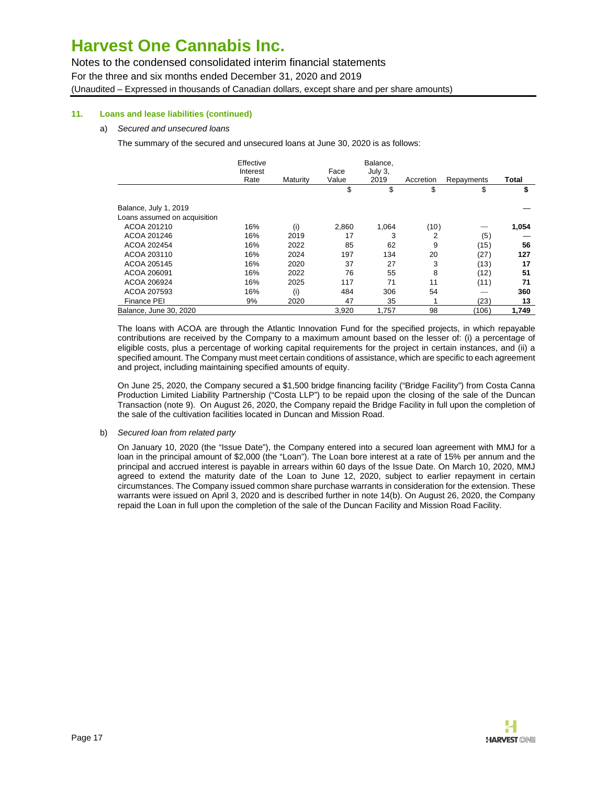Notes to the condensed consolidated interim financial statements For the three and six months ended December 31, 2020 and 2019 (Unaudited – Expressed in thousands of Canadian dollars, except share and per share amounts)

## **11. Loans and lease liabilities (continued)**

### a) Secured and unsecured loans

The summary of the secured and unsecured loans at June 30, 2020 is as follows:

|                              | Effective<br>Interest<br>Rate | Maturity | Face<br>Value | Balance,<br>July 3.<br>2019 | Accretion | Repayments | Total |
|------------------------------|-------------------------------|----------|---------------|-----------------------------|-----------|------------|-------|
|                              |                               |          | \$            | \$                          | \$        | \$         | \$    |
| Balance, July 1, 2019        |                               |          |               |                             |           |            |       |
| Loans assumed on acquisition |                               |          |               |                             |           |            |       |
| ACOA 201210                  | 16%                           | (i)      | 2,860         | 1,064                       | (10)      |            | 1,054 |
| ACOA 201246                  | 16%                           | 2019     | 17            | 3                           | 2         | (5)        |       |
| ACOA 202454                  | 16%                           | 2022     | 85            | 62                          | 9         | (15)       | 56    |
| ACOA 203110                  | 16%                           | 2024     | 197           | 134                         | 20        | (27)       | 127   |
| ACOA 205145                  | 16%                           | 2020     | 37            | 27                          | 3         | (13)       | 17    |
| ACOA 206091                  | 16%                           | 2022     | 76            | 55                          | 8         | (12)       | 51    |
| ACOA 206924                  | 16%                           | 2025     | 117           | 71                          | 11        | (11)       | 71    |
| ACOA 207593                  | 16%                           | (i)      | 484           | 306                         | 54        |            | 360   |
| Finance PEI                  | 9%                            | 2020     | 47            | 35                          |           | (23)       | 13    |
| Balance, June 30, 2020       |                               |          | 3,920         | 1,757                       | 98        | (106)      | 1,749 |

The loans with ACOA are through the Atlantic Innovation Fund for the specified projects, in which repayable contributions are received by the Company to a maximum amount based on the lesser of: (i) a percentage of eligible costs, plus a percentage of working capital requirements for the project in certain instances, and (ii) a specified amount. The Company must meet certain conditions of assistance, which are specific to each agreement and project, including maintaining specified amounts of equity.

On June 25, 2020, the Company secured a \$1,500 bridge financing facility ("Bridge Facility") from Costa Canna Production Limited Liability Partnership ("Costa LLP") to be repaid upon the closing of the sale of the Duncan Transaction (note 9). On August 26, 2020, the Company repaid the Bridge Facility in full upon the completion of the sale of the cultivation facilities located in Duncan and Mission Road.

#### b) Secured loan from related party

On January 10, 2020 (the "Issue Date"), the Company entered into a secured loan agreement with MMJ for a loan in the principal amount of \$2,000 (the "Loan"). The Loan bore interest at a rate of 15% per annum and the principal and accrued interest is payable in arrears within 60 days of the Issue Date. On March 10, 2020, MMJ agreed to extend the maturity date of the Loan to June 12, 2020, subject to earlier repayment in certain circumstances. The Company issued common share purchase warrants in consideration for the extension. These warrants were issued on April 3, 2020 and is described further in note 14(b). On August 26, 2020, the Company repaid the Loan in full upon the completion of the sale of the Duncan Facility and Mission Road Facility.

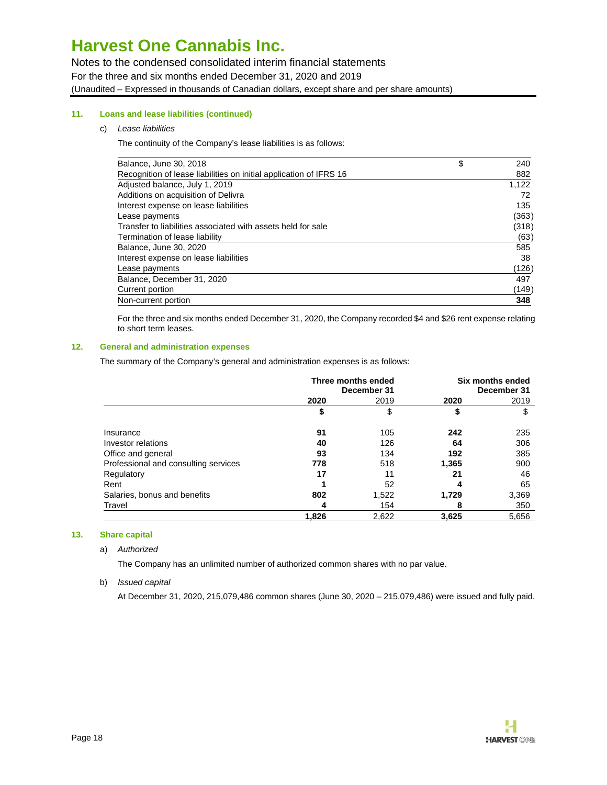Notes to the condensed consolidated interim financial statements For the three and six months ended December 31, 2020 and 2019 (Unaudited – Expressed in thousands of Canadian dollars, except share and per share amounts)

# **11. Loans and lease liabilities (continued)**

### c) Lease liabilities

The continuity of the Company's lease liabilities is as follows:

| Balance, June 30, 2018                                             | \$<br>240 |
|--------------------------------------------------------------------|-----------|
| Recognition of lease liabilities on initial application of IFRS 16 | 882       |
| Adjusted balance, July 1, 2019                                     | 1,122     |
| Additions on acquisition of Delivra                                | 72        |
| Interest expense on lease liabilities                              | 135       |
| Lease payments                                                     | (363)     |
| Transfer to liabilities associated with assets held for sale       | (318)     |
| Termination of lease liability                                     | (63)      |
| Balance, June 30, 2020                                             | 585       |
| Interest expense on lease liabilities                              | 38        |
| Lease payments                                                     | (126)     |
| Balance, December 31, 2020                                         | 497       |
| Current portion                                                    | (149)     |
| Non-current portion                                                | 348       |

For the three and six months ended December 31, 2020, the Company recorded \$4 and \$26 rent expense relating to short term leases.

#### **12. General and administration expenses**

The summary of the Company's general and administration expenses is as follows:

|                                      | Three months ended<br>December 31 |       | Six months ended<br>December 31 |       |
|--------------------------------------|-----------------------------------|-------|---------------------------------|-------|
|                                      | 2020                              | 2019  | 2020                            | 2019  |
|                                      | \$                                | \$    | \$                              | \$    |
| Insurance                            | 91                                | 105   | 242                             | 235   |
| Investor relations                   | 40                                | 126   | 64                              | 306   |
| Office and general                   | 93                                | 134   | 192                             | 385   |
| Professional and consulting services | 778                               | 518   | 1,365                           | 900   |
| Regulatory                           | 17                                | 11    | 21                              | 46    |
| Rent                                 |                                   | 52    | 4                               | 65    |
| Salaries, bonus and benefits         | 802                               | 1,522 | 1,729                           | 3,369 |
| Travel                               | 4                                 | 154   | 8                               | 350   |
|                                      | 1,826                             | 2,622 | 3,625                           | 5,656 |

### **13. Share capital**

#### a) Authorized

The Company has an unlimited number of authorized common shares with no par value.

### b) Issued capital

At December 31, 2020, 215,079,486 common shares (June 30, 2020 – 215,079,486) were issued and fully paid.

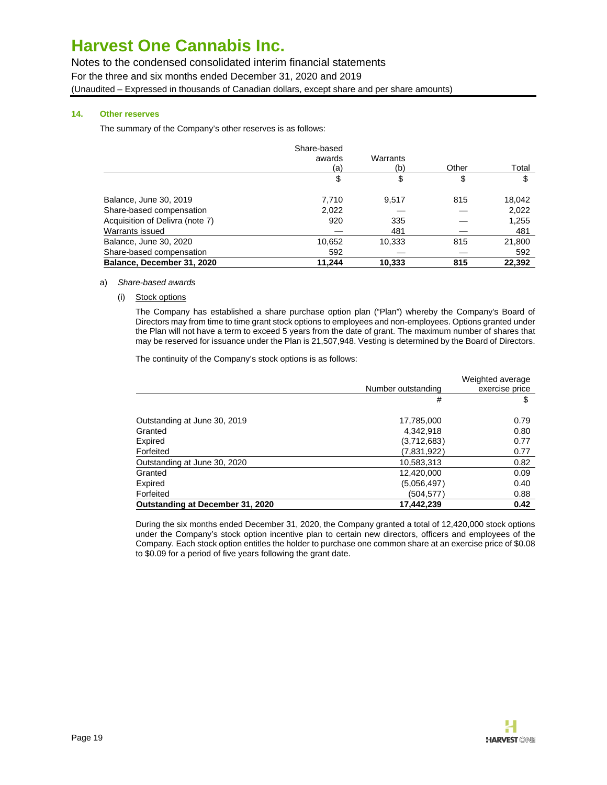Notes to the condensed consolidated interim financial statements For the three and six months ended December 31, 2020 and 2019 (Unaudited – Expressed in thousands of Canadian dollars, except share and per share amounts)

# **14. Other reserves**

The summary of the Company's other reserves is as follows:

|                                 | Share-based |          |       |        |
|---------------------------------|-------------|----------|-------|--------|
|                                 | awards      | Warrants |       |        |
|                                 | (a)         | (b)      | Other | Total  |
|                                 | \$          | \$       | \$    | \$     |
| Balance, June 30, 2019          | 7,710       | 9,517    | 815   | 18,042 |
| Share-based compensation        | 2,022       |          |       | 2,022  |
| Acquisition of Delivra (note 7) | 920         | 335      |       | 1,255  |
| Warrants issued                 |             | 481      |       | 481    |
| Balance, June 30, 2020          | 10,652      | 10.333   | 815   | 21,800 |
| Share-based compensation        | 592         |          |       | 592    |
| Balance, December 31, 2020      | 11.244      | 10.333   | 815   | 22.392 |

### a) Share-based awards

(i) Stock options

The Company has established a share purchase option plan ("Plan") whereby the Company's Board of Directors may from time to time grant stock options to employees and non-employees. Options granted under the Plan will not have a term to exceed 5 years from the date of grant. The maximum number of shares that may be reserved for issuance under the Plan is 21,507,948. Vesting is determined by the Board of Directors.

The continuity of the Company's stock options is as follows:

|                                  |                    | Weighted average |
|----------------------------------|--------------------|------------------|
|                                  | Number outstanding | exercise price   |
|                                  | #                  | \$               |
| Outstanding at June 30, 2019     | 17,785,000         | 0.79             |
| Granted                          | 4,342,918          | 0.80             |
| Expired                          | (3,712,683)        | 0.77             |
| Forfeited                        | (7,831,922)        | 0.77             |
| Outstanding at June 30, 2020     | 10,583,313         | 0.82             |
| Granted                          | 12,420,000         | 0.09             |
| Expired                          | (5.056.497)        | 0.40             |
| Forfeited                        | (504,577)          | 0.88             |
| Outstanding at December 31, 2020 | 17,442,239         | 0.42             |

During the six months ended December 31, 2020, the Company granted a total of 12,420,000 stock options under the Company's stock option incentive plan to certain new directors, officers and employees of the Company. Each stock option entitles the holder to purchase one common share at an exercise price of \$0.08 to \$0.09 for a period of five years following the grant date.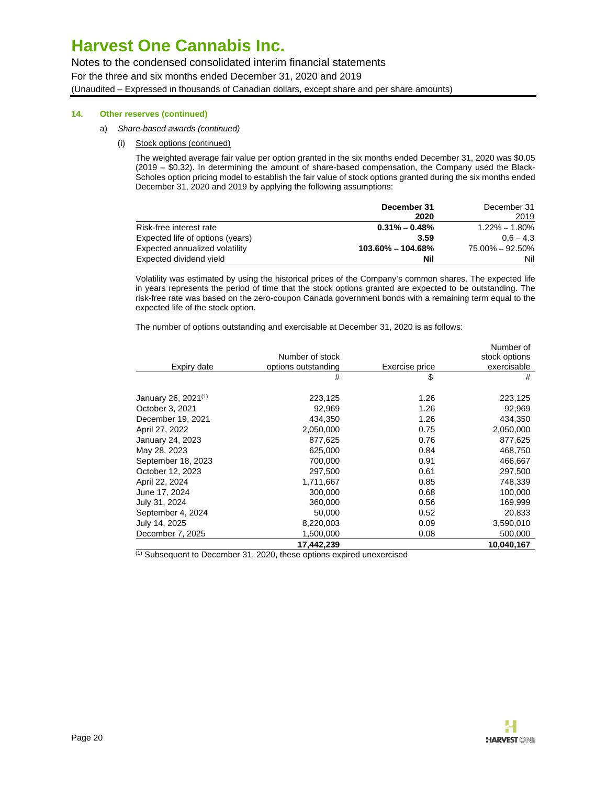Notes to the condensed consolidated interim financial statements For the three and six months ended December 31, 2020 and 2019 (Unaudited – Expressed in thousands of Canadian dollars, except share and per share amounts)

### **14. Other reserves (continued)**

- a) Share-based awards (continued)
	- (i) Stock options (continued)

The weighted average fair value per option granted in the six months ended December 31, 2020 was \$0.05 (2019 – \$0.32). In determining the amount of share-based compensation, the Company used the Black-Scholes option pricing model to establish the fair value of stock options granted during the six months ended December 31, 2020 and 2019 by applying the following assumptions:

|                                  | December 31           | December 31         |
|----------------------------------|-----------------------|---------------------|
|                                  | 2020                  | 2019                |
| Risk-free interest rate          | $0.31\% - 0.48\%$     | $1.22\% - 1.80\%$   |
| Expected life of options (years) | 3.59                  | $0.6 - 4.3$         |
| Expected annualized volatility   | $103.60\% - 104.68\%$ | $75.00\% - 92.50\%$ |
| Expected dividend yield          | Nil                   | Nil                 |

Volatility was estimated by using the historical prices of the Company's common shares. The expected life in years represents the period of time that the stock options granted are expected to be outstanding. The risk-free rate was based on the zero-coupon Canada government bonds with a remaining term equal to the expected life of the stock option.

The number of options outstanding and exercisable at December 31, 2020 is as follows:

|                                 |                     |                | Number of     |
|---------------------------------|---------------------|----------------|---------------|
|                                 | Number of stock     |                | stock options |
| Expiry date                     | options outstanding | Exercise price | exercisable   |
|                                 | #                   | \$             | #             |
| January 26, 2021 <sup>(1)</sup> | 223,125             | 1.26           | 223,125       |
| October 3, 2021                 | 92,969              | 1.26           | 92,969        |
| December 19, 2021               | 434,350             | 1.26           | 434,350       |
| April 27, 2022                  | 2,050,000           | 0.75           | 2,050,000     |
| January 24, 2023                | 877,625             | 0.76           | 877,625       |
| May 28, 2023                    | 625,000             | 0.84           | 468,750       |
| September 18, 2023              | 700,000             | 0.91           | 466,667       |
| October 12, 2023                | 297,500             | 0.61           | 297,500       |
| April 22, 2024                  | 1,711,667           | 0.85           | 748,339       |
| June 17, 2024                   | 300,000             | 0.68           | 100,000       |
| July 31, 2024                   | 360,000             | 0.56           | 169,999       |
| September 4, 2024               | 50,000              | 0.52           | 20,833        |
| July 14, 2025                   | 8,220,003           | 0.09           | 3,590,010     |
| December 7, 2025                | 1,500,000           | 0.08           | 500,000       |
|                                 | 17,442,239          |                | 10,040,167    |

 $(1)$  Subsequent to December 31, 2020, these options expired unexercised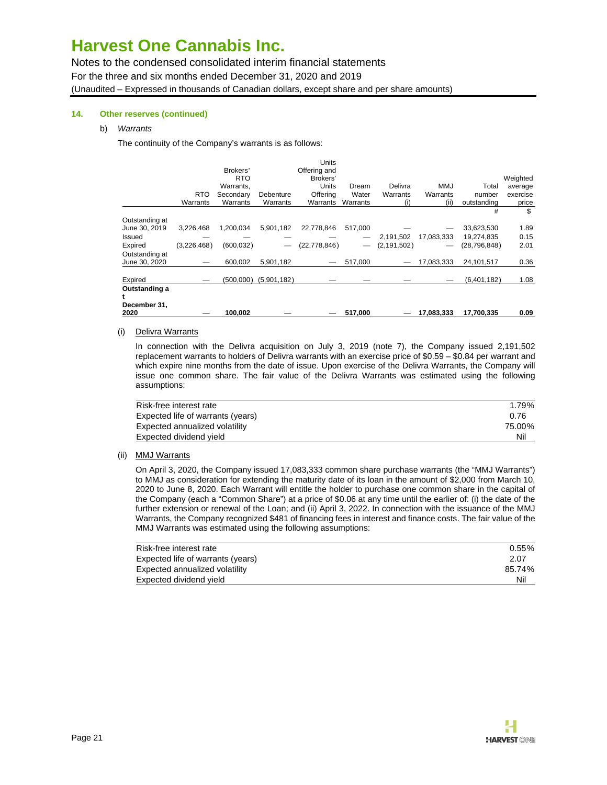Notes to the condensed consolidated interim financial statements For the three and six months ended December 31, 2020 and 2019 (Unaudited – Expressed in thousands of Canadian dollars, except share and per share amounts)

### **14. Other reserves (continued)**

### b) Warrants

The continuity of the Company's warrants is as follows:

| December 31,<br>2020            |             | 100.002                 |             |                   | 517,000                  |               | 17,083,333 | 17,700,335     | 0.09                |
|---------------------------------|-------------|-------------------------|-------------|-------------------|--------------------------|---------------|------------|----------------|---------------------|
| Outstanding a                   |             |                         |             |                   |                          |               |            |                |                     |
| Expired                         |             | (500.000)               | (5,901,182) |                   |                          |               |            | (6,401,182)    | 1.08                |
| Outstanding at<br>June 30, 2020 |             | 600.002                 | 5,901,182   |                   | 517.000                  |               | 17.083.333 | 24,101,517     | 0.36                |
| Expired                         | (3,226,468) | (600, 032)              |             | (22, 778, 846)    | $\overline{\phantom{m}}$ | (2, 191, 502) |            | (28, 796, 848) | 2.01                |
| Issued                          |             |                         |             |                   |                          | 2,191,502     | 17,083,333 | 19,274,835     | 0.15                |
| Outstanding at<br>June 30, 2019 | 3,226,468   | 1,200,034               | 5,901,182   | 22,778,846        | 517,000                  |               |            | 33,623,530     | 1.89                |
|                                 |             |                         |             |                   |                          |               |            | #              | \$                  |
|                                 | Warrants    | Warrants                | Warrants    | Warrants          | Warrants                 | (i)           | (ii)       | outstanding    | price               |
|                                 | <b>RTO</b>  | Secondary               | Debenture   | Offering          | Water                    | Warrants      | Warrants   | number         | average<br>exercise |
|                                 |             | <b>RTO</b><br>Warrants. |             | Brokers'<br>Units | Dream                    | Delivra       | <b>MMJ</b> | Total          | Weighted            |
|                                 |             | Brokers'                |             | Offering and      |                          |               |            |                |                     |
|                                 |             |                         |             | Units             |                          |               |            |                |                     |

#### (i) Delivra Warrants

In connection with the Delivra acquisition on July 3, 2019 (note 7), the Company issued 2,191,502 replacement warrants to holders of Delivra warrants with an exercise price of \$0.59 – \$0.84 per warrant and which expire nine months from the date of issue. Upon exercise of the Delivra Warrants, the Company will issue one common share. The fair value of the Delivra Warrants was estimated using the following assumptions:

| Risk-free interest rate           | 1.79%  |
|-----------------------------------|--------|
| Expected life of warrants (years) | 0.76   |
| Expected annualized volatility    | 75.00% |
| Expected dividend yield           | Nil    |

#### (ii) MMJ Warrants

On April 3, 2020, the Company issued 17,083,333 common share purchase warrants (the "MMJ Warrants") to MMJ as consideration for extending the maturity date of its loan in the amount of \$2,000 from March 10, 2020 to June 8, 2020. Each Warrant will entitle the holder to purchase one common share in the capital of the Company (each a "Common Share") at a price of \$0.06 at any time until the earlier of: (i) the date of the further extension or renewal of the Loan; and (ii) April 3, 2022. In connection with the issuance of the MMJ Warrants, the Company recognized \$481 of financing fees in interest and finance costs. The fair value of the MMJ Warrants was estimated using the following assumptions:

| Risk-free interest rate           | $0.55\%$ |
|-----------------------------------|----------|
| Expected life of warrants (years) | 2.07     |
| Expected annualized volatility    | 85.74%   |
| Expected dividend yield           | Nil      |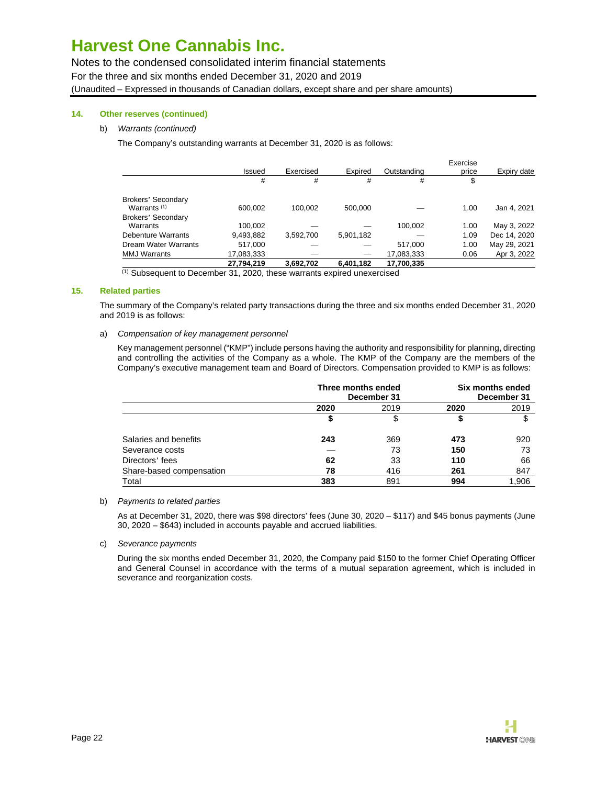Notes to the condensed consolidated interim financial statements For the three and six months ended December 31, 2020 and 2019 (Unaudited – Expressed in thousands of Canadian dollars, except share and per share amounts)

## **14. Other reserves (continued)**

### b) Warrants (continued)

The Company's outstanding warrants at December 31, 2020 is as follows:

|                           |            |           |                          |             | Exercise |              |
|---------------------------|------------|-----------|--------------------------|-------------|----------|--------------|
|                           | Issued     | Exercised | Expired                  | Outstanding | price    | Expiry date  |
|                           | #          | #         | #                        | #           | \$       |              |
| <b>Brokers' Secondary</b> |            |           |                          |             |          |              |
| Warrants $(1)$            | 600.002    | 100.002   | 500.000                  |             | 1.00     | Jan 4, 2021  |
| Brokers' Secondary        |            |           |                          |             |          |              |
| Warrants                  | 100.002    |           |                          | 100,002     | 1.00     | May 3, 2022  |
| <b>Debenture Warrants</b> | 9,493,882  | 3,592,700 | 5,901,182                |             | 1.09     | Dec 14, 2020 |
| Dream Water Warrants      | 517.000    |           |                          | 517.000     | 1.00     | May 29, 2021 |
| <b>MMJ Warrants</b>       | 17,083,333 |           | $\overline{\phantom{0}}$ | 17,083,333  | 0.06     | Apr 3, 2022  |
|                           | 27,794,219 | 3,692,702 | 6,401,182                | 17,700,335  |          |              |

(1) Subsequent to December 31, 2020, these warrants expired unexercised

### **15. Related parties**

The summary of the Company's related party transactions during the three and six months ended December 31, 2020 and 2019 is as follows:

### a) Compensation of key management personnel

Key management personnel ("KMP") include persons having the authority and responsibility for planning, directing and controlling the activities of the Company as a whole. The KMP of the Company are the members of the Company's executive management team and Board of Directors. Compensation provided to KMP is as follows:

|                          | Three months ended<br>December 31 |      | Six months ended<br>December 31 |       |
|--------------------------|-----------------------------------|------|---------------------------------|-------|
|                          | 2020                              | 2019 | 2020                            | 2019  |
|                          | \$                                | \$   |                                 | \$    |
| Salaries and benefits    | 243                               | 369  | 473                             | 920   |
| Severance costs          |                                   | 73   | 150                             | 73    |
| Directors' fees          | 62                                | 33   | 110                             | 66    |
| Share-based compensation | 78                                | 416  | 261                             | 847   |
| Total                    | 383                               | 891  | 994                             | 1,906 |

#### b) Payments to related parties

As at December 31, 2020, there was \$98 directors' fees (June 30, 2020 – \$117) and \$45 bonus payments (June 30, 2020 – \$643) included in accounts payable and accrued liabilities.

## c) Severance payments

During the six months ended December 31, 2020, the Company paid \$150 to the former Chief Operating Officer and General Counsel in accordance with the terms of a mutual separation agreement, which is included in severance and reorganization costs.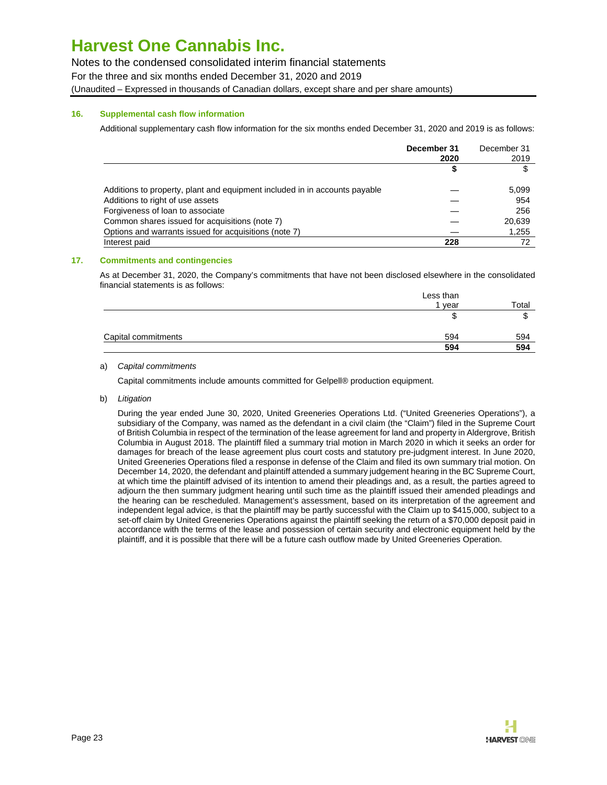Notes to the condensed consolidated interim financial statements For the three and six months ended December 31, 2020 and 2019 (Unaudited – Expressed in thousands of Canadian dollars, except share and per share amounts)

### **16. Supplemental cash flow information**

Additional supplementary cash flow information for the six months ended December 31, 2020 and 2019 is as follows:

|                                                                            | December 31 | December 31 |
|----------------------------------------------------------------------------|-------------|-------------|
|                                                                            | 2020        | 2019        |
|                                                                            | 5           | \$          |
| Additions to property, plant and equipment included in in accounts payable |             | 5,099       |
| Additions to right of use assets                                           |             | 954         |
| Forgiveness of loan to associate                                           |             | 256         |
| Common shares issued for acquisitions (note 7)                             |             | 20,639      |
| Options and warrants issued for acquisitions (note 7)                      |             | 1,255       |
| Interest paid                                                              | 228         |             |

## **17. Commitments and contingencies**

As at December 31, 2020, the Company's commitments that have not been disclosed elsewhere in the consolidated financial statements is as follows:

|                     | Less than |       |
|---------------------|-----------|-------|
|                     | 1 year    | Total |
|                     | ۰D        |       |
| Capital commitments | 594       | 594   |
|                     | 594       | 594   |

### a) Capital commitments

Capital commitments include amounts committed for Gelpell® production equipment.

b) Litigation

During the year ended June 30, 2020, United Greeneries Operations Ltd. ("United Greeneries Operations"), a subsidiary of the Company, was named as the defendant in a civil claim (the "Claim") filed in the Supreme Court of British Columbia in respect of the termination of the lease agreement for land and property in Aldergrove, British Columbia in August 2018. The plaintiff filed a summary trial motion in March 2020 in which it seeks an order for damages for breach of the lease agreement plus court costs and statutory pre-judgment interest. In June 2020, United Greeneries Operations filed a response in defense of the Claim and filed its own summary trial motion. On December 14, 2020, the defendant and plaintiff attended a summary judgement hearing in the BC Supreme Court, at which time the plaintiff advised of its intention to amend their pleadings and, as a result, the parties agreed to adjourn the then summary judgment hearing until such time as the plaintiff issued their amended pleadings and the hearing can be rescheduled. Management's assessment, based on its interpretation of the agreement and independent legal advice, is that the plaintiff may be partly successful with the Claim up to \$415,000, subject to a set-off claim by United Greeneries Operations against the plaintiff seeking the return of a \$70,000 deposit paid in accordance with the terms of the lease and possession of certain security and electronic equipment held by the plaintiff, and it is possible that there will be a future cash outflow made by United Greeneries Operation.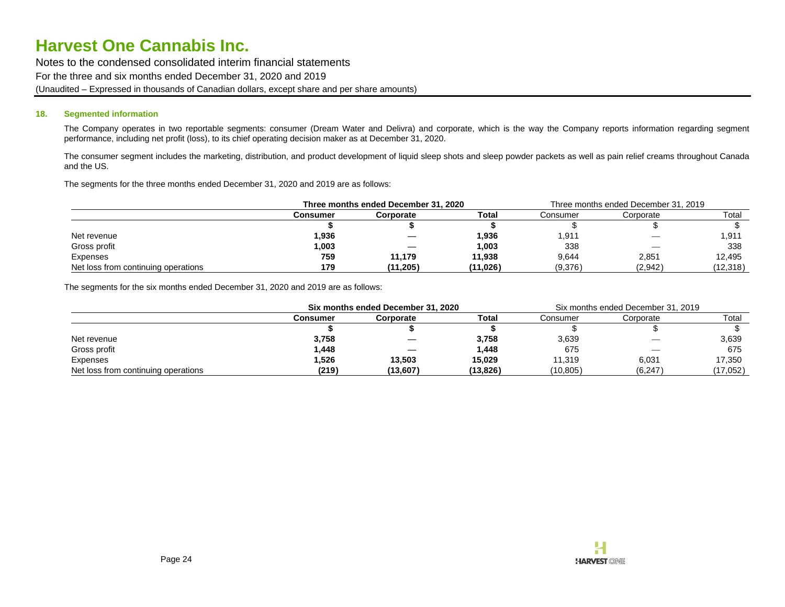Notes to the condensed consolidated interim financial statements For the three and six months ended December 31, 2020 and 2019 (Unaudited – Expressed in thousands of Canadian dollars, except share and per share amounts)

#### **18. Segmented information**

The Company operates in two reportable segments: consumer (Dream Water and Delivra) and corporate, which is the way the Company reports information regarding segment performance, including net profit (loss), to its chief operating decision maker as at December 31, 2020.

The consumer segment includes the marketing, distribution, and product development of liquid sleep shots and sleep powder packets as well as pain relief creams throughout Canada and the US.

The segments for the three months ended December 31, 2020 and 2019 are as follows:

|                                     | Three months ended December 31, 2020 |           |          | Three months ended December 31, 2019 |                          |           |
|-------------------------------------|--------------------------------------|-----------|----------|--------------------------------------|--------------------------|-----------|
|                                     | <b>Consumer</b>                      | Corporate | Total    | Consumer                             | Corporate                | Total     |
|                                     |                                      |           |          |                                      |                          |           |
| Net revenue                         | .936                                 |           | 1,936    | 1.911                                | $\overline{\phantom{a}}$ | 1.911     |
| Gross profit                        | ,003                                 | —         | 1,003    | 338                                  |                          | 338       |
| Expenses                            | 759                                  | 11,179    | 11,938   | 9.644                                | 2,851                    | 12.495    |
| Net loss from continuing operations | 179                                  | (11, 205) | (11,026) | (9,376)                              | (2,942)                  | (12, 318) |

The segments for the six months ended December 31, 2020 and 2019 are as follows:

|                                     | Six months ended December 31, 2020 |                    |           | Six months ended December 31, 2019 |                          |          |
|-------------------------------------|------------------------------------|--------------------|-----------|------------------------------------|--------------------------|----------|
|                                     | Consumer                           | Total<br>Corporate |           | Consumer                           | Corporate                | Total    |
|                                     |                                    |                    |           |                                    |                          |          |
| Net revenue                         | 3,758                              |                    | 3,758     | 3,639                              |                          | 3,639    |
| Gross profit                        | 1,448                              |                    | 1,448     | 675                                | $\overline{\phantom{m}}$ | 675      |
| Expenses                            | 1,526                              | 13.503             | 15.029    | 11.319                             | 6.031                    | 17,350   |
| Net loss from continuing operations | (219)                              | (13,607)           | (13, 826) | (10, 805)                          | (6, 247)                 | (17,052) |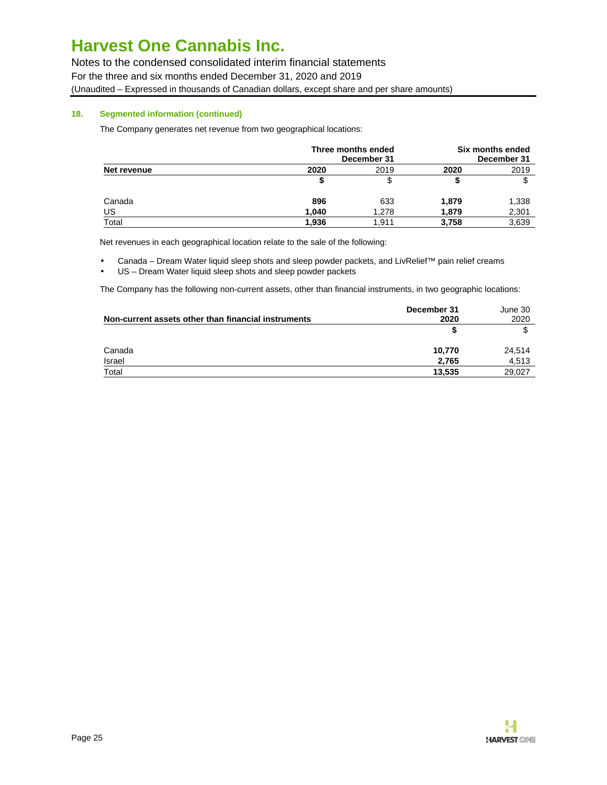Notes to the condensed consolidated interim financial statements For the three and six months ended December 31, 2020 and 2019 (Unaudited – Expressed in thousands of Canadian dollars, except share and per share amounts)

# **18. Segmented information (continued)**

The Company generates net revenue from two geographical locations:

|             | Three months ended<br>December 31 | Six months ended<br>December 31 |       |       |
|-------------|-----------------------------------|---------------------------------|-------|-------|
| Net revenue | 2020                              | 2019                            | 2020  | 2019  |
|             |                                   |                                 |       | S     |
| Canada      | 896                               | 633                             | 1,879 | 1,338 |
| US          | 1,040                             | 1.278                           | 1,879 | 2,301 |
| Total       | 1.936                             | 1.911                           | 3.758 | 3,639 |

Net revenues in each geographical location relate to the sale of the following:

- Canada Dream Water liquid sleep shots and sleep powder packets, and LivRelief™ pain relief creams
- US Dream Water liquid sleep shots and sleep powder packets

The Company has the following non-current assets, other than financial instruments, in two geographic locations:

| Non-current assets other than financial instruments | December 31<br>2020 | June 30<br>2020 |
|-----------------------------------------------------|---------------------|-----------------|
|                                                     |                     |                 |
| Canada                                              | 10.770              | 24,514          |
| Israel                                              | 2,765               | 4,513           |
| Total                                               | 13.535              | 29,027          |

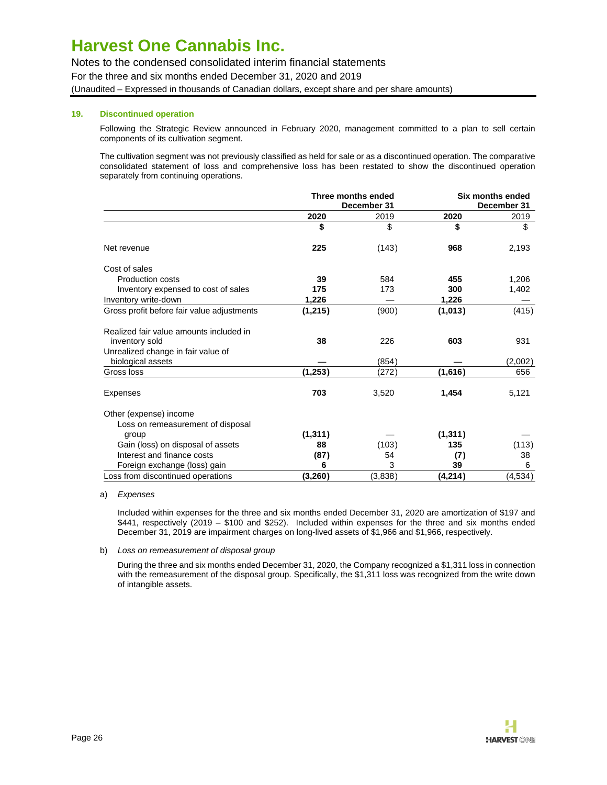Notes to the condensed consolidated interim financial statements For the three and six months ended December 31, 2020 and 2019 (Unaudited – Expressed in thousands of Canadian dollars, except share and per share amounts)

# **19. Discontinued operation**

Following the Strategic Review announced in February 2020, management committed to a plan to sell certain components of its cultivation segment.

The cultivation segment was not previously classified as held for sale or as a discontinued operation. The comparative consolidated statement of loss and comprehensive loss has been restated to show the discontinued operation separately from continuing operations.

|                                                           | Three months ended<br>December 31 |         | Six months ended<br>December 31 |          |
|-----------------------------------------------------------|-----------------------------------|---------|---------------------------------|----------|
|                                                           |                                   |         |                                 |          |
|                                                           | 2020                              | 2019    | 2020                            | 2019     |
|                                                           | \$                                | \$      | \$                              | \$       |
| Net revenue                                               | 225                               | (143)   | 968                             | 2,193    |
| Cost of sales                                             |                                   |         |                                 |          |
| <b>Production costs</b>                                   | 39                                | 584     | 455                             | 1,206    |
| Inventory expensed to cost of sales                       | 175                               | 173     | 300                             | 1,402    |
| Inventory write-down                                      | 1,226                             |         | 1,226                           |          |
| Gross profit before fair value adjustments                | (1,215)                           | (900)   | (1,013)                         | (415)    |
| Realized fair value amounts included in<br>inventory sold | 38                                | 226     | 603                             | 931      |
| Unrealized change in fair value of                        |                                   |         |                                 |          |
| biological assets                                         |                                   | (854)   |                                 | (2,002)  |
| Gross loss                                                | (1, 253)                          | (272)   | (1,616)                         | 656      |
| <b>Expenses</b>                                           | 703                               | 3,520   | 1,454                           | 5,121    |
| Other (expense) income                                    |                                   |         |                                 |          |
| Loss on remeasurement of disposal                         |                                   |         |                                 |          |
| group                                                     | (1, 311)                          |         | (1,311)                         |          |
| Gain (loss) on disposal of assets                         | 88                                | (103)   | 135                             | (113)    |
| Interest and finance costs                                | (87)                              | 54      | (7)                             | 38       |
| Foreign exchange (loss) gain                              | 6                                 | 3       | 39                              | 6        |
| Loss from discontinued operations                         | (3, 260)                          | (3,838) | (4,214)                         | (4, 534) |

#### a) Expenses

Included within expenses for the three and six months ended December 31, 2020 are amortization of \$197 and \$441, respectively (2019 – \$100 and \$252). Included within expenses for the three and six months ended December 31, 2019 are impairment charges on long-lived assets of \$1,966 and \$1,966, respectively.

#### b) Loss on remeasurement of disposal group

During the three and six months ended December 31, 2020, the Company recognized a \$1,311 loss in connection with the remeasurement of the disposal group. Specifically, the \$1,311 loss was recognized from the write down of intangible assets.